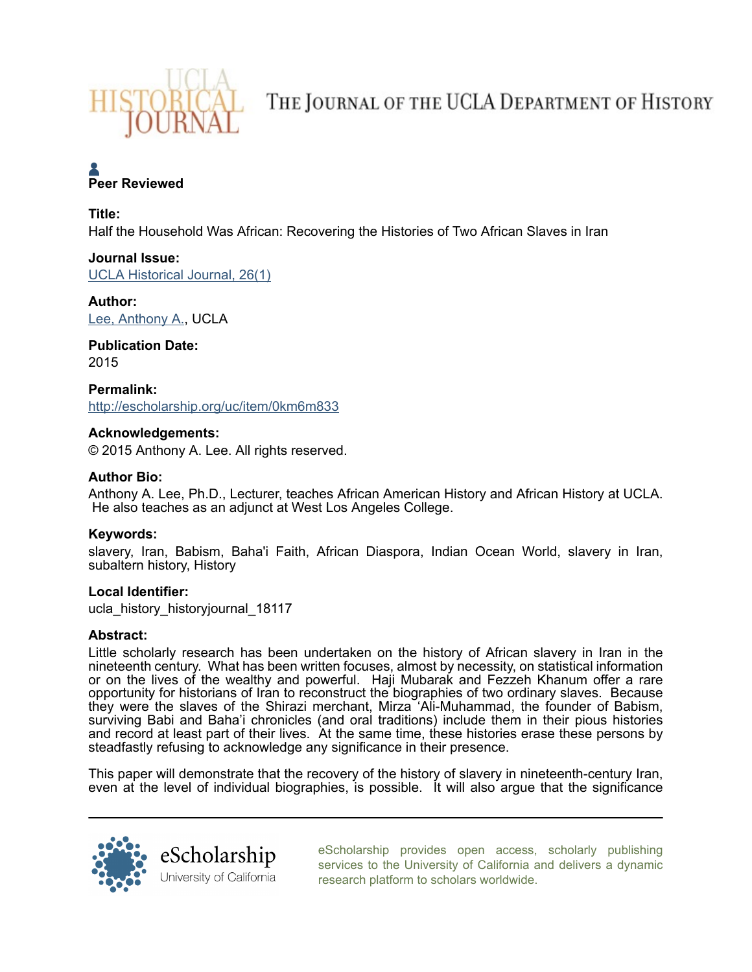

THE JOURNAL OF THE UCLA DEPARTMENT OF HISTORY

# **A**<br>Peer Reviewed

## Title:

Half the Household Was African: Recovering the Histories of Two African Slaves in Iran

# Journal Issue:

[UCLA Historical Journal, 26\(1\)](http://escholarship.org/uc/ucla_history_historyjournal?volume=26;issue=1)

# Author:

[Lee, Anthony A.](http://escholarship.org/uc/search?creator=Lee%2C%20Anthony%20A.), UCLA

Publication Date: 2015

Permalink: <http://escholarship.org/uc/item/0km6m833>

# Acknowledgements:

© 2015 Anthony A. Lee. All rights reserved.

# Author Bio:

Anthony A. Lee, Ph.D., Lecturer, teaches African American History and African History at UCLA. He also teaches as an adjunct at West Los Angeles College.

# Keywords:

slavery, Iran, Babism, Baha'i Faith, African Diaspora, Indian Ocean World, slavery in Iran, subaltern history, History

# Local Identifier:

ucla\_history\_historyjournal\_18117

# Abstract:

Little scholarly research has been undertaken on the history of African slavery in Iran in the nineteenth century. What has been written focuses, almost by necessity, on statistical information or on the lives of the wealthy and powerful. Haji Mubarak and Fezzeh Khanum offer a rare opportunity for historians of Iran to reconstruct the biographies of two ordinary slaves. Because they were the slaves of the Shirazi merchant, Mirza 'Ali-Muhammad, the founder of Babism, surviving Babi and Baha'i chronicles (and oral traditions) include them in their pious histories and record at least part of their lives. At the same time, these histories erase these persons by steadfastly refusing to acknowledge any significance in their presence.

This paper will demonstrate that the recovery of the history of slavery in nineteenth-century Iran, even at the level of individual biographies, is possible. It will also argue that the significance



[eScholarship provides open access, scholarly publishing](http://escholarship.org) [services to the University of California and delivers a dynamic](http://escholarship.org) [research platform to scholars worldwide.](http://escholarship.org)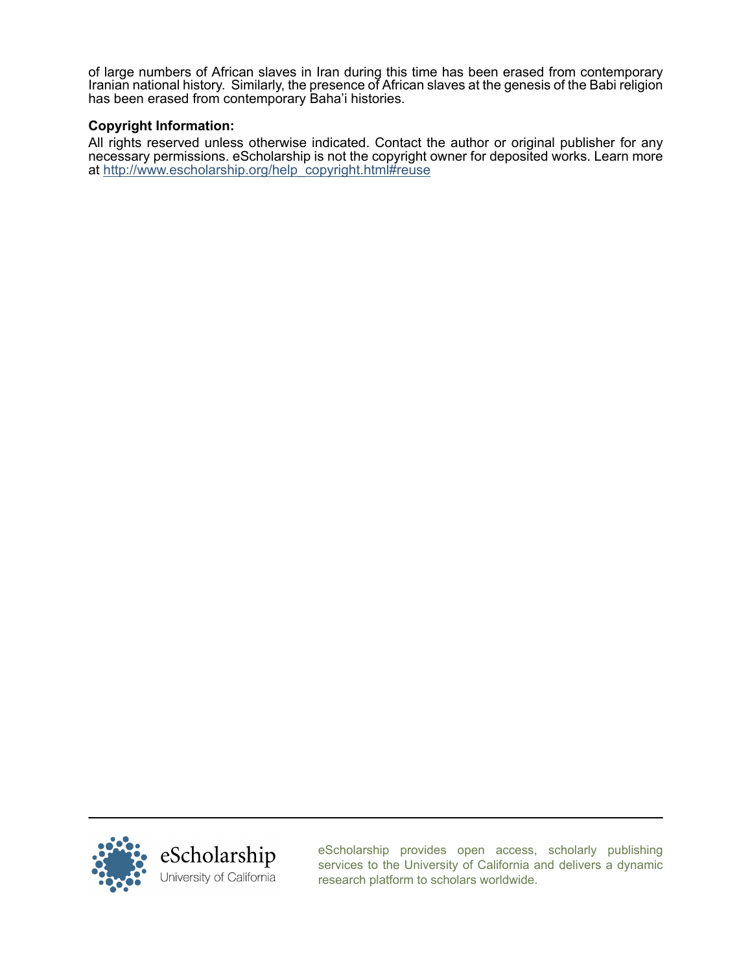of large numbers of African slaves in Iran during this time has been erased from contemporary Iranian national history. Similarly, the presence of African slaves at the genesis of the Babi religion has been erased from contemporary Baha'i histories.

# Copyright Information:

All rights reserved unless otherwise indicated. Contact the author or original publisher for any necessary permissions. eScholarship is not the copyright owner for deposited works. Learn more at [http://www.escholarship.org/help\\_copyright.html#reuse](http://www.escholarship.org/help_copyright.html#reuse)



[eScholarship provides open access, scholarly publishing](http://escholarship.org) [services to the University of California and delivers a dynamic](http://escholarship.org) [research platform to scholars worldwide.](http://escholarship.org)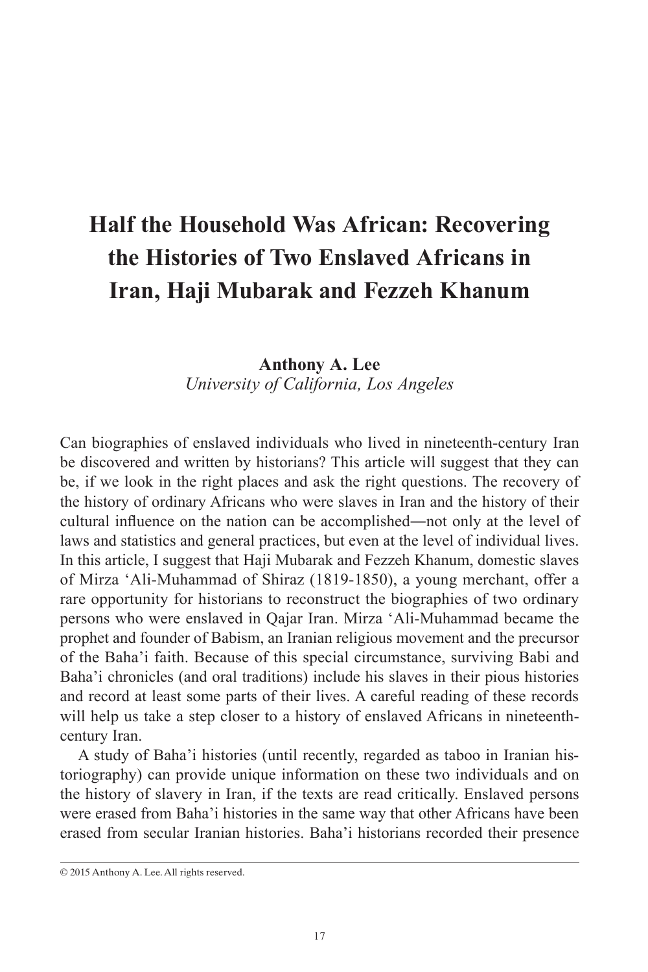# **Half the Household Was African: Recovering the Histories of Two Enslaved Africans in Iran, Haji Mubarak and Fezzeh Khanum**

## **Anthony A. Lee** *University of California, Los Angeles*

Can biographies of enslaved individuals who lived in nineteenth-century Iran be discovered and written by historians? This article will suggest that they can be, if we look in the right places and ask the right questions. The recovery of the history of ordinary Africans who were slaves in Iran and the history of their cultural influence on the nation can be accomplished―not only at the level of laws and statistics and general practices, but even at the level of individual lives. In this article, I suggest that Haji Mubarak and Fezzeh Khanum, domestic slaves of Mirza 'Ali-Muhammad of Shiraz (1819-1850), a young merchant, offer a rare opportunity for historians to reconstruct the biographies of two ordinary persons who were enslaved in Qajar Iran. Mirza 'Ali-Muhammad became the prophet and founder of Babism, an Iranian religious movement and the precursor of the Baha'i faith. Because of this special circumstance, surviving Babi and Baha'i chronicles (and oral traditions) include his slaves in their pious histories and record at least some parts of their lives. A careful reading of these records will help us take a step closer to a history of enslaved Africans in nineteenthcentury Iran.

A study of Baha'i histories (until recently, regarded as taboo in Iranian historiography) can provide unique information on these two individuals and on the history of slavery in Iran, if the texts are read critically. Enslaved persons were erased from Baha'i histories in the same way that other Africans have been erased from secular Iranian histories. Baha'i historians recorded their presence

<sup>© 2015</sup> Anthony A. Lee. All rights reserved.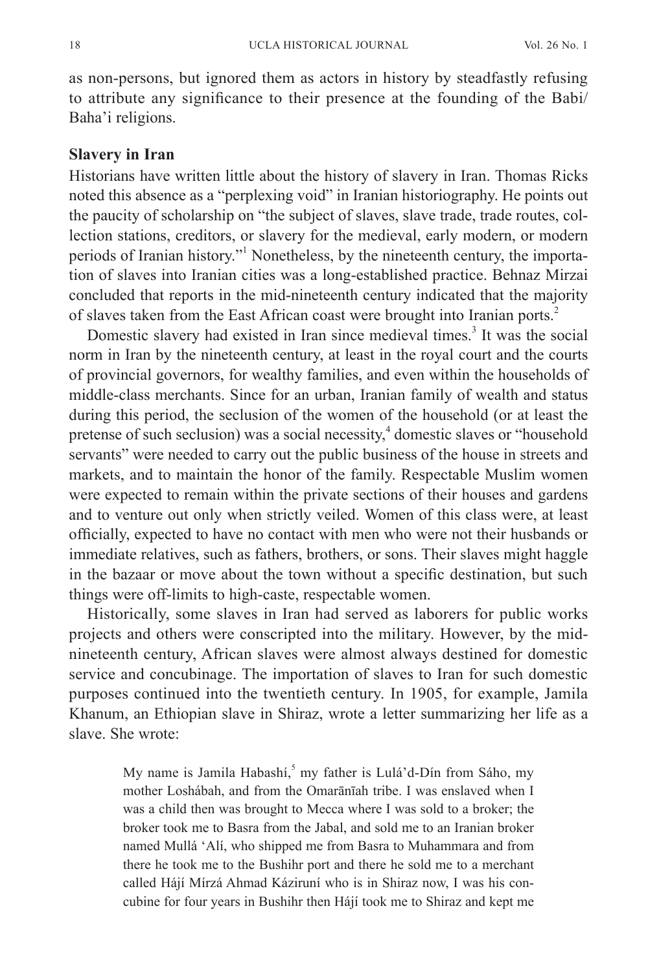as non-persons, but ignored them as actors in history by steadfastly refusing to attribute any significance to their presence at the founding of the Babi/ Baha'i religions.

#### **Slavery in Iran**

Historians have written little about the history of slavery in Iran. Thomas Ricks noted this absence as a "perplexing void" in Iranian historiography. He points out the paucity of scholarship on "the subject of slaves, slave trade, trade routes, collection stations, creditors, or slavery for the medieval, early modern, or modern periods of Iranian history."<sup>1</sup> Nonetheless, by the nineteenth century, the importation of slaves into Iranian cities was a long-established practice. Behnaz Mirzai concluded that reports in the mid-nineteenth century indicated that the majority of slaves taken from the East African coast were brought into Iranian ports.<sup>2</sup>

Domestic slavery had existed in Iran since medieval times.<sup>3</sup> It was the social norm in Iran by the nineteenth century, at least in the royal court and the courts of provincial governors, for wealthy families, and even within the households of middle-class merchants. Since for an urban, Iranian family of wealth and status during this period, the seclusion of the women of the household (or at least the pretense of such seclusion) was a social necessity,<sup>4</sup> domestic slaves or "household servants" were needed to carry out the public business of the house in streets and markets, and to maintain the honor of the family. Respectable Muslim women were expected to remain within the private sections of their houses and gardens and to venture out only when strictly veiled. Women of this class were, at least officially, expected to have no contact with men who were not their husbands or immediate relatives, such as fathers, brothers, or sons. Their slaves might haggle in the bazaar or move about the town without a specific destination, but such things were off-limits to high-caste, respectable women.

Historically, some slaves in Iran had served as laborers for public works projects and others were conscripted into the military. However, by the midnineteenth century, African slaves were almost always destined for domestic service and concubinage. The importation of slaves to Iran for such domestic purposes continued into the twentieth century. In 1905, for example, Jamila Khanum, an Ethiopian slave in Shiraz, wrote a letter summarizing her life as a slave. She wrote:

> My name is Jamila Habashí,<sup>5</sup> my father is Lulá'd-Dín from Sáho, my mother Loshábah, and from the Omarānīah tribe. I was enslaved when I was a child then was brought to Mecca where I was sold to a broker; the broker took me to Basra from the Jabal, and sold me to an Iranian broker named Mullá 'Alí, who shipped me from Basra to Muhammara and from there he took me to the Bushihr port and there he sold me to a merchant called Hájí Mírzá Ahmad Káziruní who is in Shiraz now, I was his concubine for four years in Bushihr then Hájí took me to Shiraz and kept me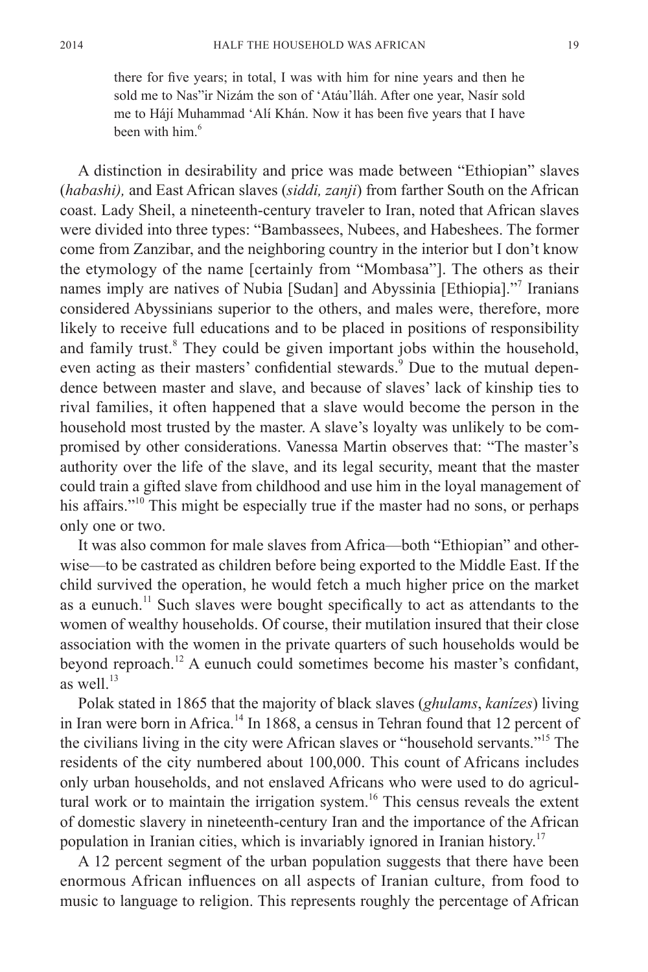there for five years; in total, I was with him for nine years and then he sold me to Nas"ir Nizám the son of 'Atáu'lláh. After one year, Nasír sold me to Hájí Muhammad 'Alí Khán. Now it has been five years that I have been with him $<sup>6</sup>$ </sup>

A distinction in desirability and price was made between "Ethiopian" slaves (*habashi),* and East African slaves (*siddi, zanji*) from farther South on the African coast. Lady Sheil, a nineteenth-century traveler to Iran, noted that African slaves were divided into three types: "Bambassees, Nubees, and Habeshees. The former come from Zanzibar, and the neighboring country in the interior but I don't know the etymology of the name [certainly from "Mombasa"]. The others as their names imply are natives of Nubia [Sudan] and Abyssinia [Ethiopia]."<sup>7</sup> Iranians considered Abyssinians superior to the others, and males were, therefore, more likely to receive full educations and to be placed in positions of responsibility and family trust.<sup>8</sup> They could be given important jobs within the household, even acting as their masters' confidential stewards.<sup>9</sup> Due to the mutual dependence between master and slave, and because of slaves' lack of kinship ties to rival families, it often happened that a slave would become the person in the household most trusted by the master. A slave's loyalty was unlikely to be compromised by other considerations. Vanessa Martin observes that: "The master's authority over the life of the slave, and its legal security, meant that the master could train a gifted slave from childhood and use him in the loyal management of his affairs."<sup>10</sup> This might be especially true if the master had no sons, or perhaps only one or two.

It was also common for male slaves from Africa—both "Ethiopian" and otherwise—to be castrated as children before being exported to the Middle East. If the child survived the operation, he would fetch a much higher price on the market as a eunuch.<sup>11</sup> Such slaves were bought specifically to act as attendants to the women of wealthy households. Of course, their mutilation insured that their close association with the women in the private quarters of such households would be beyond reproach.<sup>12</sup> A eunuch could sometimes become his master's confidant, as well. $^{13}$ 

Polak stated in 1865 that the majority of black slaves (*ghulams*, *kanízes*) living in Iran were born in Africa.<sup>14</sup> In 1868, a census in Tehran found that 12 percent of the civilians living in the city were African slaves or "household servants."<sup>15</sup> The residents of the city numbered about 100,000. This count of Africans includes only urban households, and not enslaved Africans who were used to do agricultural work or to maintain the irrigation system.<sup>16</sup> This census reveals the extent of domestic slavery in nineteenth-century Iran and the importance of the African population in Iranian cities, which is invariably ignored in Iranian history.<sup>17</sup>

A 12 percent segment of the urban population suggests that there have been enormous African influences on all aspects of Iranian culture, from food to music to language to religion. This represents roughly the percentage of African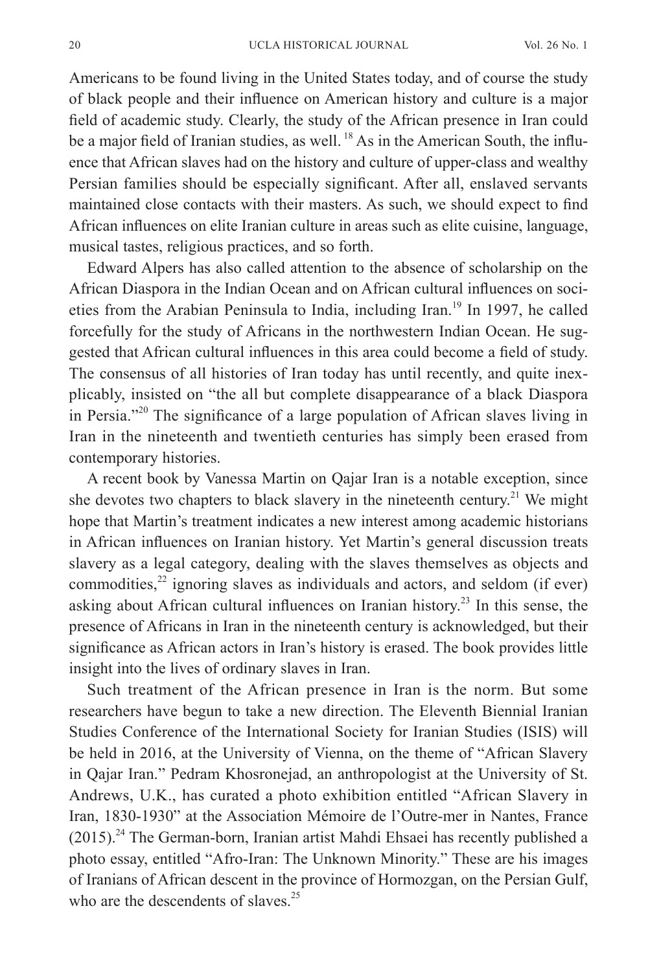Americans to be found living in the United States today, and of course the study of black people and their influence on American history and culture is a major field of academic study. Clearly, the study of the African presence in Iran could be a major field of Iranian studies, as well.<sup>18</sup> As in the American South, the influence that African slaves had on the history and culture of upper-class and wealthy Persian families should be especially significant. After all, enslaved servants maintained close contacts with their masters. As such, we should expect to find African influences on elite Iranian culture in areas such as elite cuisine, language, musical tastes, religious practices, and so forth.

Edward Alpers has also called attention to the absence of scholarship on the African Diaspora in the Indian Ocean and on African cultural influences on societies from the Arabian Peninsula to India, including Iran.<sup>19</sup> In 1997, he called forcefully for the study of Africans in the northwestern Indian Ocean. He suggested that African cultural influences in this area could become a field of study. The consensus of all histories of Iran today has until recently, and quite inexplicably, insisted on "the all but complete disappearance of a black Diaspora in Persia."20 The significance of a large population of African slaves living in Iran in the nineteenth and twentieth centuries has simply been erased from contemporary histories.

A recent book by Vanessa Martin on Qajar Iran is a notable exception, since she devotes two chapters to black slavery in the nineteenth century.<sup>21</sup> We might hope that Martin's treatment indicates a new interest among academic historians in African influences on Iranian history. Yet Martin's general discussion treats slavery as a legal category, dealing with the slaves themselves as objects and commodities, $2<sup>2</sup>$  ignoring slaves as individuals and actors, and seldom (if ever) asking about African cultural influences on Iranian history.<sup>23</sup> In this sense, the presence of Africans in Iran in the nineteenth century is acknowledged, but their significance as African actors in Iran's history is erased. The book provides little insight into the lives of ordinary slaves in Iran.

Such treatment of the African presence in Iran is the norm. But some researchers have begun to take a new direction. The Eleventh Biennial Iranian Studies Conference of the International Society for Iranian Studies (ISIS) will be held in 2016, at the University of Vienna, on the theme of "African Slavery in Qajar Iran." Pedram Khosronejad, an anthropologist at the University of St. Andrews, U.K., has curated a photo exhibition entitled "African Slavery in Iran, 1830-1930" at the Association Mémoire de l'Outre-mer in Nantes, France  $(2015)$ .<sup>24</sup> The German-born, Iranian artist Mahdi Ehsaei has recently published a photo essay, entitled "Afro-Iran: The Unknown Minority." These are his images of Iranians of African descent in the province of Hormozgan, on the Persian Gulf, who are the descendents of slaves.<sup>25</sup>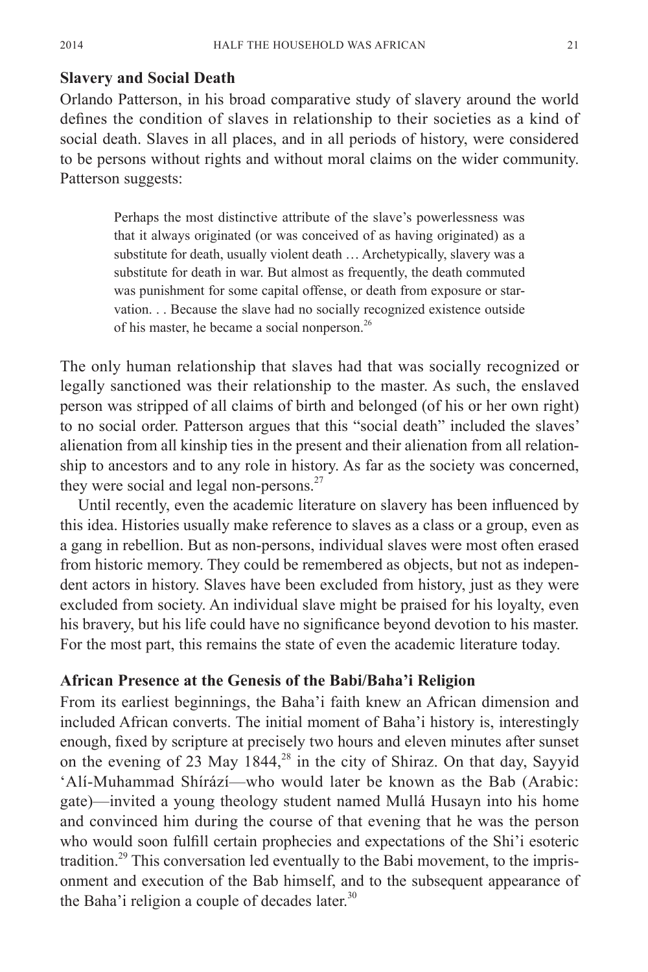#### **Slavery and Social Death**

Orlando Patterson, in his broad comparative study of slavery around the world defines the condition of slaves in relationship to their societies as a kind of social death. Slaves in all places, and in all periods of history, were considered to be persons without rights and without moral claims on the wider community. Patterson suggests:

> Perhaps the most distinctive attribute of the slave's powerlessness was that it always originated (or was conceived of as having originated) as a substitute for death, usually violent death … Archetypically, slavery was a substitute for death in war. But almost as frequently, the death commuted was punishment for some capital offense, or death from exposure or starvation. . . Because the slave had no socially recognized existence outside of his master, he became a social nonperson.<sup>26</sup>

The only human relationship that slaves had that was socially recognized or legally sanctioned was their relationship to the master. As such, the enslaved person was stripped of all claims of birth and belonged (of his or her own right) to no social order. Patterson argues that this "social death" included the slaves' alienation from all kinship ties in the present and their alienation from all relationship to ancestors and to any role in history. As far as the society was concerned, they were social and legal non-persons. $27$ 

Until recently, even the academic literature on slavery has been influenced by this idea. Histories usually make reference to slaves as a class or a group, even as a gang in rebellion. But as non-persons, individual slaves were most often erased from historic memory. They could be remembered as objects, but not as independent actors in history. Slaves have been excluded from history, just as they were excluded from society. An individual slave might be praised for his loyalty, even his bravery, but his life could have no significance beyond devotion to his master. For the most part, this remains the state of even the academic literature today.

#### **African Presence at the Genesis of the Babi/Baha'i Religion**

From its earliest beginnings, the Baha'i faith knew an African dimension and included African converts. The initial moment of Baha'i history is, interestingly enough, fixed by scripture at precisely two hours and eleven minutes after sunset on the evening of 23 May  $1844<sup>28</sup>$  in the city of Shiraz. On that day, Sayyid 'Alí-Muhammad Shírází—who would later be known as the Bab (Arabic: gate)—invited a young theology student named Mullá Husayn into his home and convinced him during the course of that evening that he was the person who would soon fulfill certain prophecies and expectations of the Shi'i esoteric tradition.<sup>29</sup> This conversation led eventually to the Babi movement, to the imprisonment and execution of the Bab himself, and to the subsequent appearance of the Baha'i religion a couple of decades later. $30$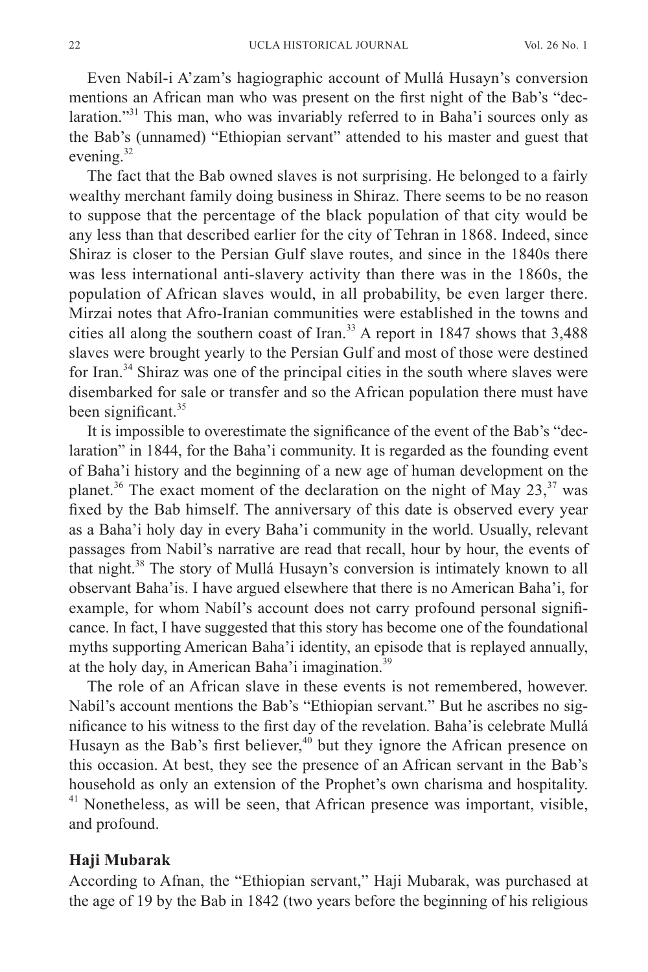Even Nabíl-i A'zam's hagiographic account of Mullá Husayn's conversion mentions an African man who was present on the first night of the Bab's "declaration."<sup>31</sup> This man, who was invariably referred to in Baha'i sources only as the Bab's (unnamed) "Ethiopian servant" attended to his master and guest that evening.<sup>32</sup>

The fact that the Bab owned slaves is not surprising. He belonged to a fairly wealthy merchant family doing business in Shiraz. There seems to be no reason to suppose that the percentage of the black population of that city would be any less than that described earlier for the city of Tehran in 1868. Indeed, since Shiraz is closer to the Persian Gulf slave routes, and since in the 1840s there was less international anti-slavery activity than there was in the 1860s, the population of African slaves would, in all probability, be even larger there. Mirzai notes that Afro-Iranian communities were established in the towns and cities all along the southern coast of Iran.<sup>33</sup> A report in 1847 shows that 3,488 slaves were brought yearly to the Persian Gulf and most of those were destined for Iran.<sup>34</sup> Shiraz was one of the principal cities in the south where slaves were disembarked for sale or transfer and so the African population there must have been significant.<sup>35</sup>

It is impossible to overestimate the significance of the event of the Bab's "declaration" in 1844, for the Baha'i community. It is regarded as the founding event of Baha'i history and the beginning of a new age of human development on the planet.<sup>36</sup> The exact moment of the declaration on the night of May  $23$ ,  $37$  was fixed by the Bab himself. The anniversary of this date is observed every year as a Baha'i holy day in every Baha'i community in the world. Usually, relevant passages from Nabil's narrative are read that recall, hour by hour, the events of that night.<sup>38</sup> The story of Mullá Husayn's conversion is intimately known to all observant Baha'is. I have argued elsewhere that there is no American Baha'i, for example, for whom Nabíl's account does not carry profound personal significance. In fact, I have suggested that this story has become one of the foundational myths supporting American Baha'i identity, an episode that is replayed annually, at the holy day, in American Baha'i imagination. $39$ 

The role of an African slave in these events is not remembered, however. Nabíl's account mentions the Bab's "Ethiopian servant." But he ascribes no significance to his witness to the first day of the revelation. Baha'is celebrate Mullá Husayn as the Bab's first believer,<sup>40</sup> but they ignore the African presence on this occasion. At best, they see the presence of an African servant in the Bab's household as only an extension of the Prophet's own charisma and hospitality. <sup>41</sup> Nonetheless, as will be seen, that African presence was important, visible, and profound.

#### **Haji Mubarak**

According to Afnan, the "Ethiopian servant," Haji Mubarak, was purchased at the age of 19 by the Bab in 1842 (two years before the beginning of his religious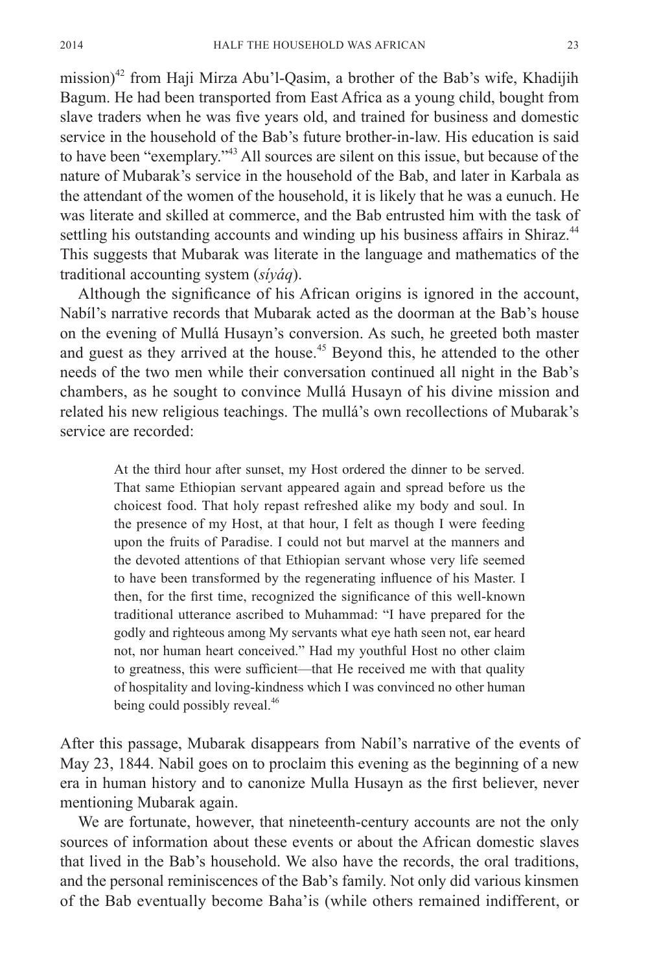mission)<sup>42</sup> from Haji Mirza Abu'l-Qasim, a brother of the Bab's wife, Khadijih Bagum. He had been transported from East Africa as a young child, bought from slave traders when he was five years old, and trained for business and domestic service in the household of the Bab's future brother-in-law. His education is said to have been "exemplary."<sup>43</sup> All sources are silent on this issue, but because of the nature of Mubarak's service in the household of the Bab, and later in Karbala as the attendant of the women of the household, it is likely that he was a eunuch. He was literate and skilled at commerce, and the Bab entrusted him with the task of settling his outstanding accounts and winding up his business affairs in Shiraz.<sup>44</sup> This suggests that Mubarak was literate in the language and mathematics of the traditional accounting system (*síyáq*).

Although the significance of his African origins is ignored in the account, Nabíl's narrative records that Mubarak acted as the doorman at the Bab's house on the evening of Mullá Husayn's conversion. As such, he greeted both master and guest as they arrived at the house.<sup>45</sup> Beyond this, he attended to the other needs of the two men while their conversation continued all night in the Bab's chambers, as he sought to convince Mullá Husayn of his divine mission and related his new religious teachings. The mullá's own recollections of Mubarak's service are recorded:

> At the third hour after sunset, my Host ordered the dinner to be served. That same Ethiopian servant appeared again and spread before us the choicest food. That holy repast refreshed alike my body and soul. In the presence of my Host, at that hour, I felt as though I were feeding upon the fruits of Paradise. I could not but marvel at the manners and the devoted attentions of that Ethiopian servant whose very life seemed to have been transformed by the regenerating influence of his Master. I then, for the first time, recognized the significance of this well-known traditional utterance ascribed to Muhammad: "I have prepared for the godly and righteous among My servants what eye hath seen not, ear heard not, nor human heart conceived." Had my youthful Host no other claim to greatness, this were sufficient—that He received me with that quality of hospitality and loving-kindness which I was convinced no other human being could possibly reveal.<sup>46</sup>

After this passage, Mubarak disappears from Nabíl's narrative of the events of May 23, 1844. Nabil goes on to proclaim this evening as the beginning of a new era in human history and to canonize Mulla Husayn as the first believer, never mentioning Mubarak again.

We are fortunate, however, that nineteenth-century accounts are not the only sources of information about these events or about the African domestic slaves that lived in the Bab's household. We also have the records, the oral traditions, and the personal reminiscences of the Bab's family. Not only did various kinsmen of the Bab eventually become Baha'is (while others remained indifferent, or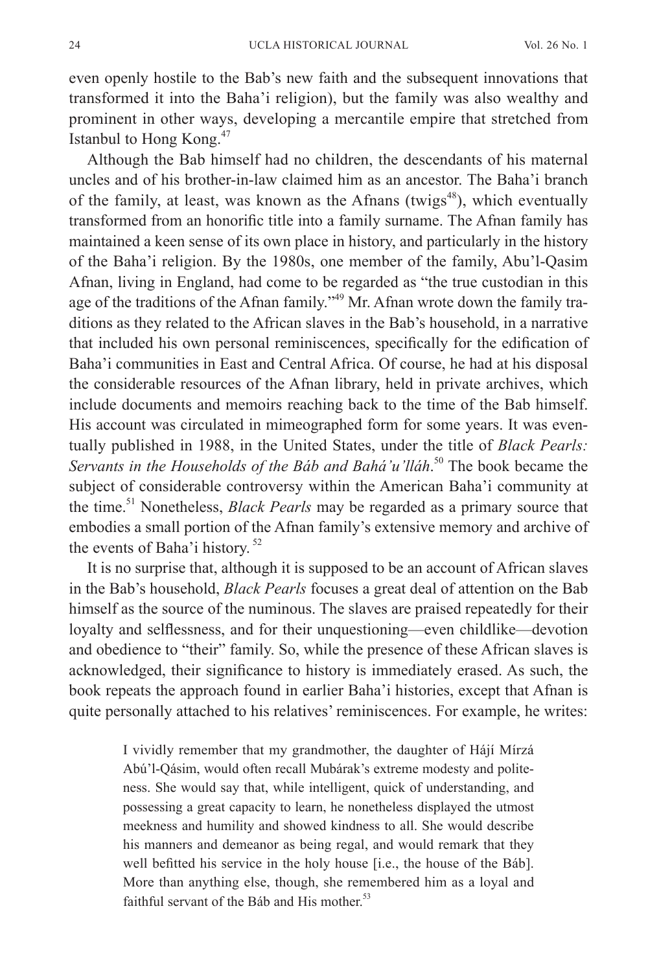even openly hostile to the Bab's new faith and the subsequent innovations that transformed it into the Baha'i religion), but the family was also wealthy and prominent in other ways, developing a mercantile empire that stretched from Istanbul to Hong Kong.47

Although the Bab himself had no children, the descendants of his maternal uncles and of his brother-in-law claimed him as an ancestor. The Baha'i branch of the family, at least, was known as the Afnans (twigs $48$ ), which eventually transformed from an honorific title into a family surname. The Afnan family has maintained a keen sense of its own place in history, and particularly in the history of the Baha'i religion. By the 1980s, one member of the family, Abu'l-Qasim Afnan, living in England, had come to be regarded as "the true custodian in this age of the traditions of the Afnan family."<sup>49</sup> Mr. Afnan wrote down the family traditions as they related to the African slaves in the Bab's household, in a narrative that included his own personal reminiscences, specifically for the edification of Baha'i communities in East and Central Africa. Of course, he had at his disposal the considerable resources of the Afnan library, held in private archives, which include documents and memoirs reaching back to the time of the Bab himself. His account was circulated in mimeographed form for some years. It was eventually published in 1988, in the United States, under the title of *Black Pearls: Servants in the Households of the Báb and Bahá'u'lláh*. 50 The book became the subject of considerable controversy within the American Baha'i community at the time.51 Nonetheless, *Black Pearls* may be regarded as a primary source that embodies a small portion of the Afnan family's extensive memory and archive of the events of Baha'i history.<sup>52</sup>

It is no surprise that, although it is supposed to be an account of African slaves in the Bab's household, *Black Pearls* focuses a great deal of attention on the Bab himself as the source of the numinous. The slaves are praised repeatedly for their loyalty and selflessness, and for their unquestioning—even childlike—devotion and obedience to "their" family. So, while the presence of these African slaves is acknowledged, their significance to history is immediately erased. As such, the book repeats the approach found in earlier Baha'i histories, except that Afnan is quite personally attached to his relatives' reminiscences. For example, he writes:

> I vividly remember that my grandmother, the daughter of Hájí Mírzá Abú'l-Qásim, would often recall Mubárak's extreme modesty and politeness. She would say that, while intelligent, quick of understanding, and possessing a great capacity to learn, he nonetheless displayed the utmost meekness and humility and showed kindness to all. She would describe his manners and demeanor as being regal, and would remark that they well befitted his service in the holy house [i.e., the house of the Báb]. More than anything else, though, she remembered him as a loyal and faithful servant of the Báb and His mother.<sup>53</sup>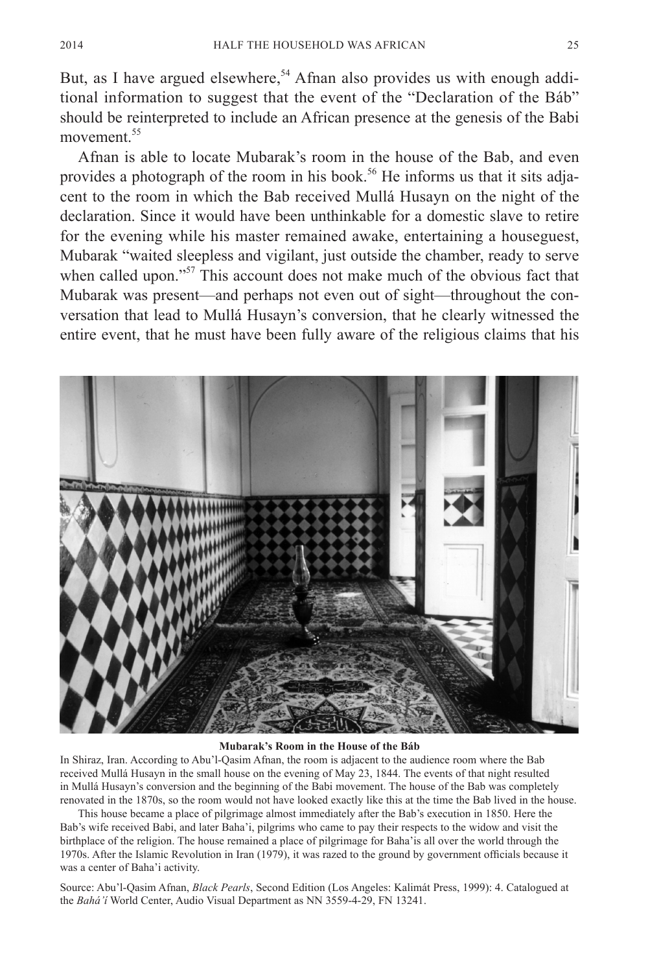But, as I have argued elsewhere,<sup>54</sup> Afnan also provides us with enough additional information to suggest that the event of the "Declaration of the Báb" should be reinterpreted to include an African presence at the genesis of the Babi movement.<sup>55</sup>

Afnan is able to locate Mubarak's room in the house of the Bab, and even provides a photograph of the room in his book.<sup>56</sup> He informs us that it sits adjacent to the room in which the Bab received Mullá Husayn on the night of the declaration. Since it would have been unthinkable for a domestic slave to retire for the evening while his master remained awake, entertaining a houseguest, Mubarak "waited sleepless and vigilant, just outside the chamber, ready to serve when called upon."<sup>57</sup> This account does not make much of the obvious fact that Mubarak was present—and perhaps not even out of sight—throughout the conversation that lead to Mullá Husayn's conversion, that he clearly witnessed the entire event, that he must have been fully aware of the religious claims that his



#### **Mubarak's Room in the House of the Báb**

In Shiraz, Iran. According to Abu'l-Qasim Afnan, the room is adjacent to the audience room where the Bab received Mullá Husayn in the small house on the evening of May 23, 1844. The events of that night resulted in Mullá Husayn's conversion and the beginning of the Babi movement. The house of the Bab was completely renovated in the 1870s, so the room would not have looked exactly like this at the time the Bab lived in the house.

This house became a place of pilgrimage almost immediately after the Bab's execution in 1850. Here the Bab's wife received Babi, and later Baha'i, pilgrims who came to pay their respects to the widow and visit the birthplace of the religion. The house remained a place of pilgrimage for Baha'is all over the world through the 1970s. After the Islamic Revolution in Iran (1979), it was razed to the ground by government officials because it was a center of Baha'i activity.

Source: Abu'l-Qasim Afnan, *Black Pearls*, Second Edition (Los Angeles: Kalimát Press, 1999): 4. Catalogued at the *Bahá'í* World Center, Audio Visual Department as NN 3559-4-29, FN 13241.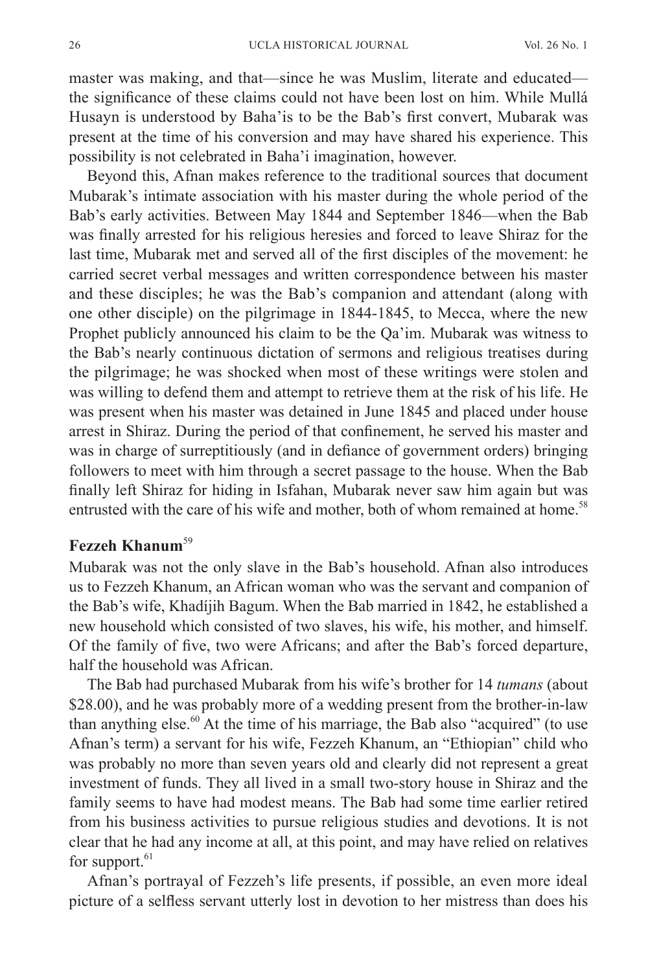master was making, and that—since he was Muslim, literate and educated the significance of these claims could not have been lost on him. While Mullá Husayn is understood by Baha'is to be the Bab's first convert, Mubarak was present at the time of his conversion and may have shared his experience. This possibility is not celebrated in Baha'i imagination, however.

Beyond this, Afnan makes reference to the traditional sources that document Mubarak's intimate association with his master during the whole period of the Bab's early activities. Between May 1844 and September 1846—when the Bab was finally arrested for his religious heresies and forced to leave Shiraz for the last time, Mubarak met and served all of the first disciples of the movement: he carried secret verbal messages and written correspondence between his master and these disciples; he was the Bab's companion and attendant (along with one other disciple) on the pilgrimage in 1844-1845, to Mecca, where the new Prophet publicly announced his claim to be the Qa'im. Mubarak was witness to the Bab's nearly continuous dictation of sermons and religious treatises during the pilgrimage; he was shocked when most of these writings were stolen and was willing to defend them and attempt to retrieve them at the risk of his life. He was present when his master was detained in June 1845 and placed under house arrest in Shiraz. During the period of that confinement, he served his master and was in charge of surreptitiously (and in defiance of government orders) bringing followers to meet with him through a secret passage to the house. When the Bab finally left Shiraz for hiding in Isfahan, Mubarak never saw him again but was entrusted with the care of his wife and mother, both of whom remained at home.<sup>58</sup>

# **Fezzeh Khanum**<sup>59</sup>

Mubarak was not the only slave in the Bab's household. Afnan also introduces us to Fezzeh Khanum, an African woman who was the servant and companion of the Bab's wife, Khadíjih Bagum. When the Bab married in 1842, he established a new household which consisted of two slaves, his wife, his mother, and himself. Of the family of five, two were Africans; and after the Bab's forced departure, half the household was African.

The Bab had purchased Mubarak from his wife's brother for 14 *tumans* (about \$28.00), and he was probably more of a wedding present from the brother-in-law than anything else. $60$  At the time of his marriage, the Bab also "acquired" (to use Afnan's term) a servant for his wife, Fezzeh Khanum, an "Ethiopian" child who was probably no more than seven years old and clearly did not represent a great investment of funds. They all lived in a small two-story house in Shiraz and the family seems to have had modest means. The Bab had some time earlier retired from his business activities to pursue religious studies and devotions. It is not clear that he had any income at all, at this point, and may have relied on relatives for support. $61$ 

Afnan's portrayal of Fezzeh's life presents, if possible, an even more ideal picture of a selfless servant utterly lost in devotion to her mistress than does his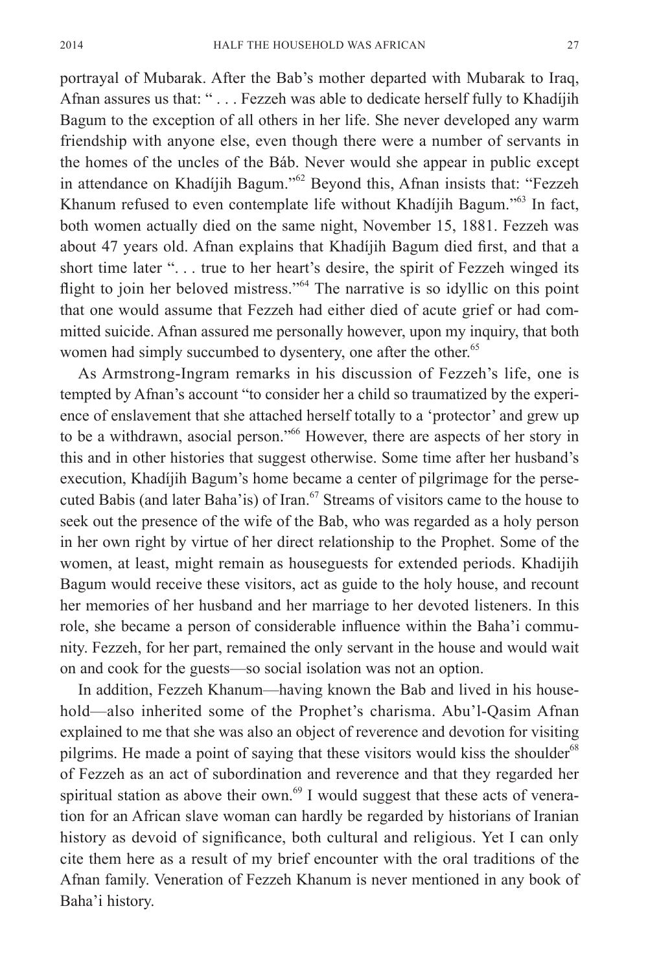portrayal of Mubarak. After the Bab's mother departed with Mubarak to Iraq, Afnan assures us that: " . . . Fezzeh was able to dedicate herself fully to Khadíjih Bagum to the exception of all others in her life. She never developed any warm friendship with anyone else, even though there were a number of servants in the homes of the uncles of the Báb. Never would she appear in public except in attendance on Khadíjih Bagum."<sup>62</sup> Beyond this, Afnan insists that: "Fezzeh Khanum refused to even contemplate life without Khadíjih Bagum."<sup>63</sup> In fact, both women actually died on the same night, November 15, 1881. Fezzeh was about 47 years old. Afnan explains that Khadíjih Bagum died first, and that a short time later ". . . true to her heart's desire, the spirit of Fezzeh winged its flight to join her beloved mistress."64 The narrative is so idyllic on this point that one would assume that Fezzeh had either died of acute grief or had committed suicide. Afnan assured me personally however, upon my inquiry, that both women had simply succumbed to dysentery, one after the other.<sup>65</sup>

As Armstrong-Ingram remarks in his discussion of Fezzeh's life, one is tempted by Afnan's account "to consider her a child so traumatized by the experience of enslavement that she attached herself totally to a 'protector' and grew up to be a withdrawn, asocial person."<sup>66</sup> However, there are aspects of her story in this and in other histories that suggest otherwise. Some time after her husband's execution, Khadíjih Bagum's home became a center of pilgrimage for the persecuted Babis (and later Baha'is) of Iran.<sup>67</sup> Streams of visitors came to the house to seek out the presence of the wife of the Bab, who was regarded as a holy person in her own right by virtue of her direct relationship to the Prophet. Some of the women, at least, might remain as houseguests for extended periods. Khadijih Bagum would receive these visitors, act as guide to the holy house, and recount her memories of her husband and her marriage to her devoted listeners. In this role, she became a person of considerable influence within the Baha'i community. Fezzeh, for her part, remained the only servant in the house and would wait on and cook for the guests—so social isolation was not an option.

In addition, Fezzeh Khanum—having known the Bab and lived in his household—also inherited some of the Prophet's charisma. Abu'l-Qasim Afnan explained to me that she was also an object of reverence and devotion for visiting pilgrims. He made a point of saying that these visitors would kiss the shoulder<sup>68</sup> of Fezzeh as an act of subordination and reverence and that they regarded her spiritual station as above their own. $69$  I would suggest that these acts of veneration for an African slave woman can hardly be regarded by historians of Iranian history as devoid of significance, both cultural and religious. Yet I can only cite them here as a result of my brief encounter with the oral traditions of the Afnan family. Veneration of Fezzeh Khanum is never mentioned in any book of Baha'i history.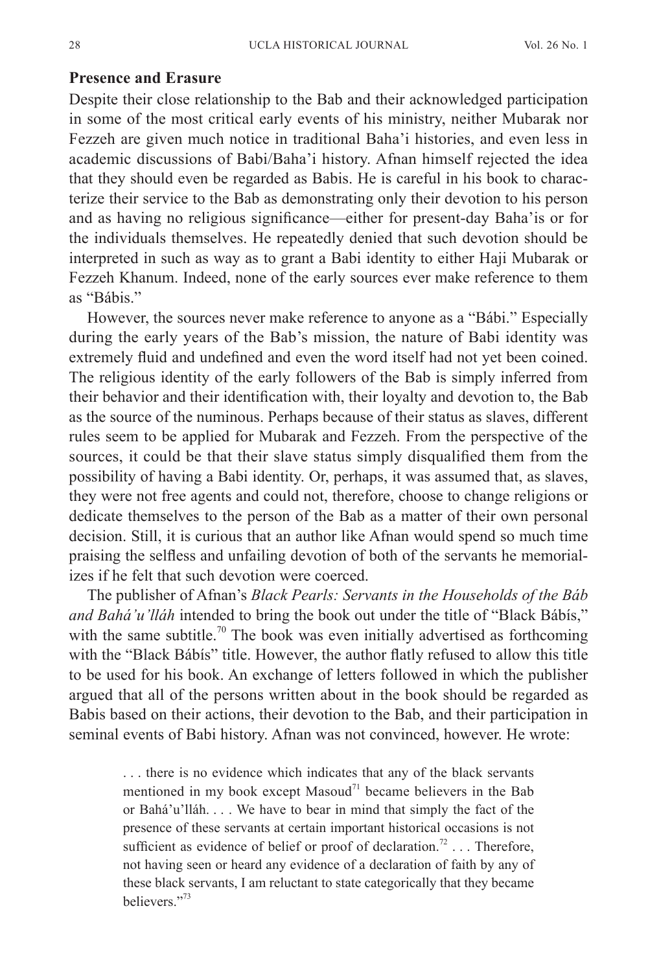#### **Presence and Erasure**

Despite their close relationship to the Bab and their acknowledged participation in some of the most critical early events of his ministry, neither Mubarak nor Fezzeh are given much notice in traditional Baha'i histories, and even less in academic discussions of Babi/Baha'i history. Afnan himself rejected the idea that they should even be regarded as Babis. He is careful in his book to characterize their service to the Bab as demonstrating only their devotion to his person and as having no religious significance—either for present-day Baha'is or for the individuals themselves. He repeatedly denied that such devotion should be interpreted in such as way as to grant a Babi identity to either Haji Mubarak or Fezzeh Khanum. Indeed, none of the early sources ever make reference to them as "Bábis."

However, the sources never make reference to anyone as a "Bábi." Especially during the early years of the Bab's mission, the nature of Babi identity was extremely fluid and undefined and even the word itself had not yet been coined. The religious identity of the early followers of the Bab is simply inferred from their behavior and their identification with, their loyalty and devotion to, the Bab as the source of the numinous. Perhaps because of their status as slaves, different rules seem to be applied for Mubarak and Fezzeh. From the perspective of the sources, it could be that their slave status simply disqualified them from the possibility of having a Babi identity. Or, perhaps, it was assumed that, as slaves, they were not free agents and could not, therefore, choose to change religions or dedicate themselves to the person of the Bab as a matter of their own personal decision. Still, it is curious that an author like Afnan would spend so much time praising the selfless and unfailing devotion of both of the servants he memorializes if he felt that such devotion were coerced.

The publisher of Afnan's *Black Pearls: Servants in the Households of the Báb and Bahá'u'lláh* intended to bring the book out under the title of "Black Bábís," with the same subtitle.<sup>70</sup> The book was even initially advertised as forthcoming with the "Black Bábís" title. However, the author flatly refused to allow this title to be used for his book. An exchange of letters followed in which the publisher argued that all of the persons written about in the book should be regarded as Babis based on their actions, their devotion to the Bab, and their participation in seminal events of Babi history. Afnan was not convinced, however. He wrote:

> . . . there is no evidence which indicates that any of the black servants mentioned in my book except Masoud<sup>71</sup> became believers in the Bab or Bahá'u'lláh. . . . We have to bear in mind that simply the fact of the presence of these servants at certain important historical occasions is not sufficient as evidence of belief or proof of declaration.<sup>72</sup> . . . Therefore, not having seen or heard any evidence of a declaration of faith by any of these black servants, I am reluctant to state categorically that they became believers."73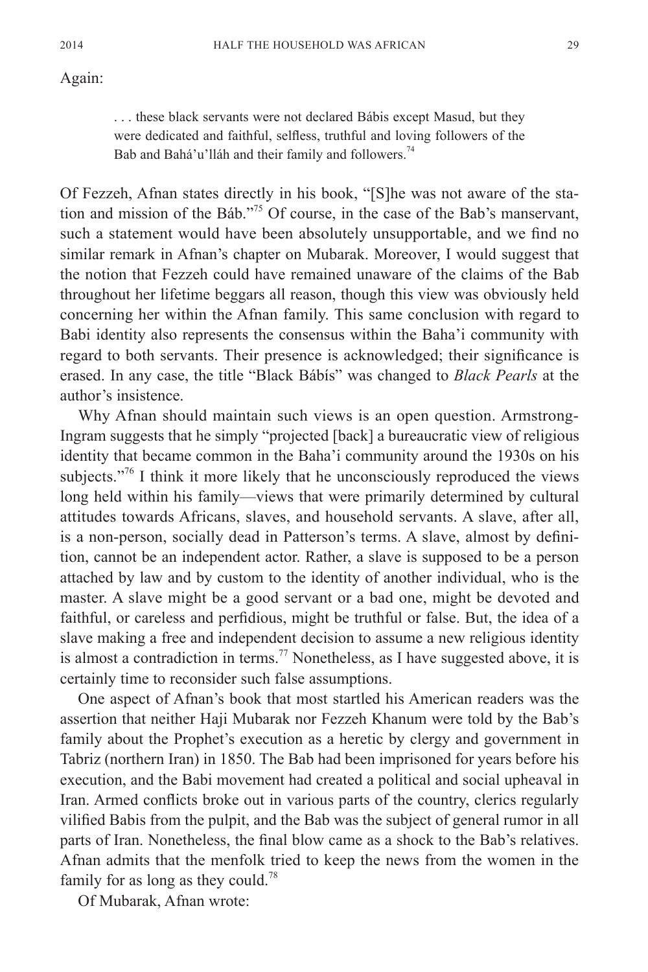#### Again:

. . . these black servants were not declared Bábis except Masud, but they were dedicated and faithful, selfless, truthful and loving followers of the Bab and Bahá'u'lláh and their family and followers.<sup>74</sup>

Of Fezzeh, Afnan states directly in his book, "[S]he was not aware of the station and mission of the Báb."75 Of course, in the case of the Bab's manservant, such a statement would have been absolutely unsupportable, and we find no similar remark in Afnan's chapter on Mubarak. Moreover, I would suggest that the notion that Fezzeh could have remained unaware of the claims of the Bab throughout her lifetime beggars all reason, though this view was obviously held concerning her within the Afnan family. This same conclusion with regard to Babi identity also represents the consensus within the Baha'i community with regard to both servants. Their presence is acknowledged; their significance is erased. In any case, the title "Black Bábís" was changed to *Black Pearls* at the author's insistence.

Why Afnan should maintain such views is an open question. Armstrong-Ingram suggests that he simply "projected [back] a bureaucratic view of religious identity that became common in the Baha'i community around the 1930s on his subjects."<sup>76</sup> I think it more likely that he unconsciously reproduced the views long held within his family—views that were primarily determined by cultural attitudes towards Africans, slaves, and household servants. A slave, after all, is a non-person, socially dead in Patterson's terms. A slave, almost by definition, cannot be an independent actor. Rather, a slave is supposed to be a person attached by law and by custom to the identity of another individual, who is the master. A slave might be a good servant or a bad one, might be devoted and faithful, or careless and perfidious, might be truthful or false. But, the idea of a slave making a free and independent decision to assume a new religious identity is almost a contradiction in terms.<sup>77</sup> Nonetheless, as I have suggested above, it is certainly time to reconsider such false assumptions.

One aspect of Afnan's book that most startled his American readers was the assertion that neither Haji Mubarak nor Fezzeh Khanum were told by the Bab's family about the Prophet's execution as a heretic by clergy and government in Tabriz (northern Iran) in 1850. The Bab had been imprisoned for years before his execution, and the Babi movement had created a political and social upheaval in Iran. Armed conflicts broke out in various parts of the country, clerics regularly vilified Babis from the pulpit, and the Bab was the subject of general rumor in all parts of Iran. Nonetheless, the final blow came as a shock to the Bab's relatives. Afnan admits that the menfolk tried to keep the news from the women in the family for as long as they could.<sup>78</sup>

Of Mubarak, Afnan wrote: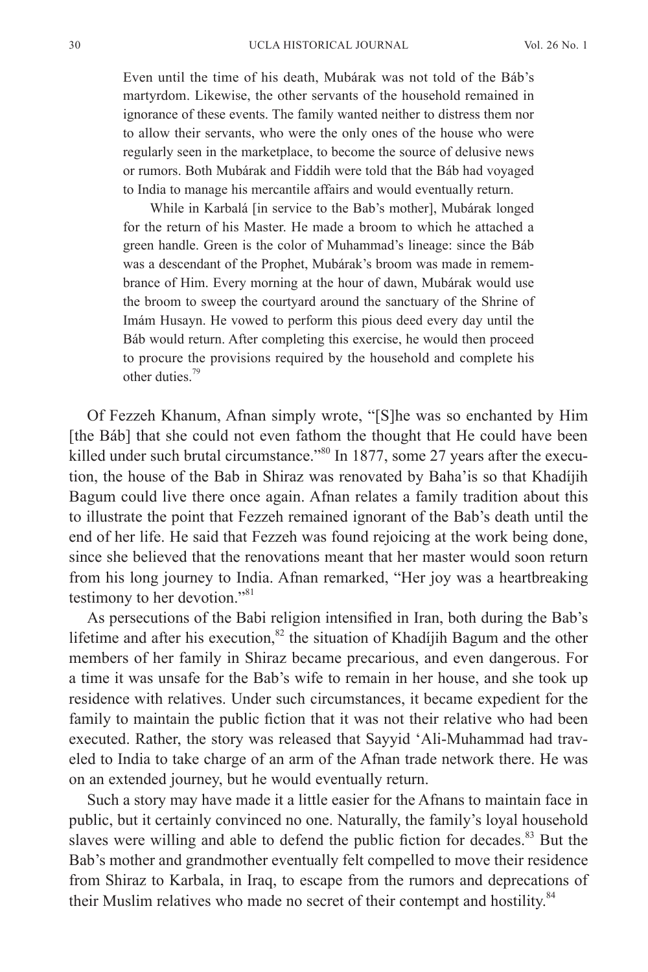Even until the time of his death, Mubárak was not told of the Báb's martyrdom. Likewise, the other servants of the household remained in ignorance of these events. The family wanted neither to distress them nor to allow their servants, who were the only ones of the house who were regularly seen in the marketplace, to become the source of delusive news or rumors. Both Mubárak and Fiddih were told that the Báb had voyaged to India to manage his mercantile affairs and would eventually return.

While in Karbalá [in service to the Bab's mother], Mubárak longed for the return of his Master. He made a broom to which he attached a green handle. Green is the color of Muhammad's lineage: since the Báb was a descendant of the Prophet, Mubárak's broom was made in remembrance of Him. Every morning at the hour of dawn, Mubárak would use the broom to sweep the courtyard around the sanctuary of the Shrine of Imám Husayn. He vowed to perform this pious deed every day until the Báb would return. After completing this exercise, he would then proceed to procure the provisions required by the household and complete his other duties.<sup>79</sup>

Of Fezzeh Khanum, Afnan simply wrote, "[S]he was so enchanted by Him [the Báb] that she could not even fathom the thought that He could have been killed under such brutal circumstance."<sup>80</sup> In 1877, some 27 years after the execution, the house of the Bab in Shiraz was renovated by Baha'is so that Khadíjih Bagum could live there once again. Afnan relates a family tradition about this to illustrate the point that Fezzeh remained ignorant of the Bab's death until the end of her life. He said that Fezzeh was found rejoicing at the work being done, since she believed that the renovations meant that her master would soon return from his long journey to India. Afnan remarked, "Her joy was a heartbreaking testimony to her devotion."<sup>81</sup>

As persecutions of the Babi religion intensified in Iran, both during the Bab's lifetime and after his execution, $82$  the situation of Khadíjih Bagum and the other members of her family in Shiraz became precarious, and even dangerous. For a time it was unsafe for the Bab's wife to remain in her house, and she took up residence with relatives. Under such circumstances, it became expedient for the family to maintain the public fiction that it was not their relative who had been executed. Rather, the story was released that Sayyid 'Ali-Muhammad had traveled to India to take charge of an arm of the Afnan trade network there. He was on an extended journey, but he would eventually return.

Such a story may have made it a little easier for the Afnans to maintain face in public, but it certainly convinced no one. Naturally, the family's loyal household slaves were willing and able to defend the public fiction for decades. $83$  But the Bab's mother and grandmother eventually felt compelled to move their residence from Shiraz to Karbala, in Iraq, to escape from the rumors and deprecations of their Muslim relatives who made no secret of their contempt and hostility.<sup>84</sup>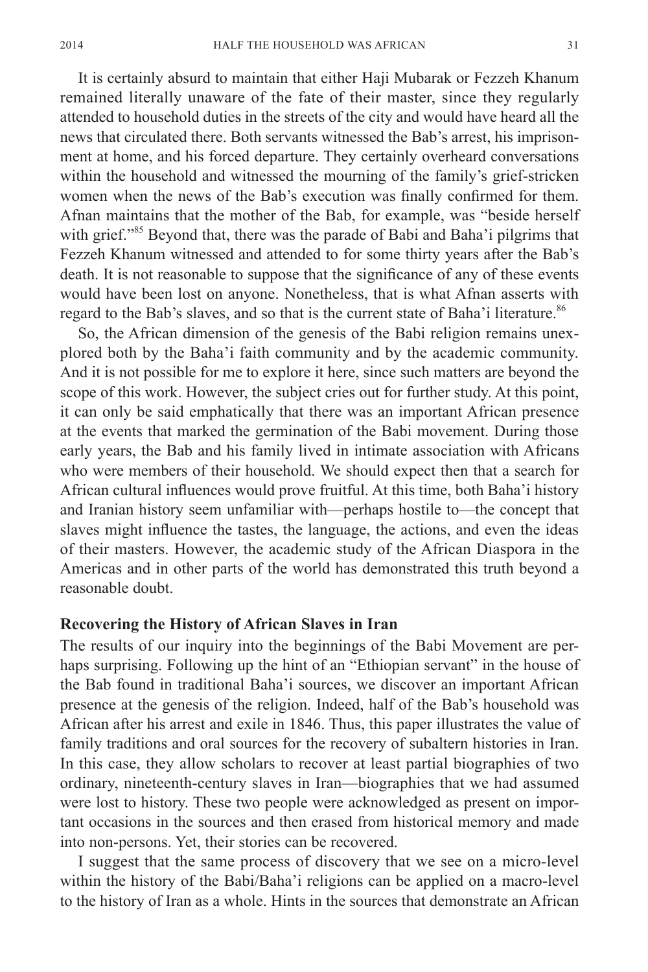It is certainly absurd to maintain that either Haji Mubarak or Fezzeh Khanum remained literally unaware of the fate of their master, since they regularly attended to household duties in the streets of the city and would have heard all the news that circulated there. Both servants witnessed the Bab's arrest, his imprisonment at home, and his forced departure. They certainly overheard conversations within the household and witnessed the mourning of the family's grief-stricken women when the news of the Bab's execution was finally confirmed for them. Afnan maintains that the mother of the Bab, for example, was "beside herself with grief."<sup>85</sup> Beyond that, there was the parade of Babi and Baha'i pilgrims that Fezzeh Khanum witnessed and attended to for some thirty years after the Bab's death. It is not reasonable to suppose that the significance of any of these events would have been lost on anyone. Nonetheless, that is what Afnan asserts with regard to the Bab's slaves, and so that is the current state of Baha'i literature.<sup>86</sup>

So, the African dimension of the genesis of the Babi religion remains unexplored both by the Baha'i faith community and by the academic community. And it is not possible for me to explore it here, since such matters are beyond the scope of this work. However, the subject cries out for further study. At this point, it can only be said emphatically that there was an important African presence at the events that marked the germination of the Babi movement. During those early years, the Bab and his family lived in intimate association with Africans who were members of their household. We should expect then that a search for African cultural influences would prove fruitful. At this time, both Baha'i history and Iranian history seem unfamiliar with—perhaps hostile to—the concept that slaves might influence the tastes, the language, the actions, and even the ideas of their masters. However, the academic study of the African Diaspora in the Americas and in other parts of the world has demonstrated this truth beyond a reasonable doubt.

#### **Recovering the History of African Slaves in Iran**

The results of our inquiry into the beginnings of the Babi Movement are perhaps surprising. Following up the hint of an "Ethiopian servant" in the house of the Bab found in traditional Baha'i sources, we discover an important African presence at the genesis of the religion. Indeed, half of the Bab's household was African after his arrest and exile in 1846. Thus, this paper illustrates the value of family traditions and oral sources for the recovery of subaltern histories in Iran. In this case, they allow scholars to recover at least partial biographies of two ordinary, nineteenth-century slaves in Iran—biographies that we had assumed were lost to history. These two people were acknowledged as present on important occasions in the sources and then erased from historical memory and made into non-persons. Yet, their stories can be recovered.

I suggest that the same process of discovery that we see on a micro-level within the history of the Babi/Baha'i religions can be applied on a macro-level to the history of Iran as a whole. Hints in the sources that demonstrate an African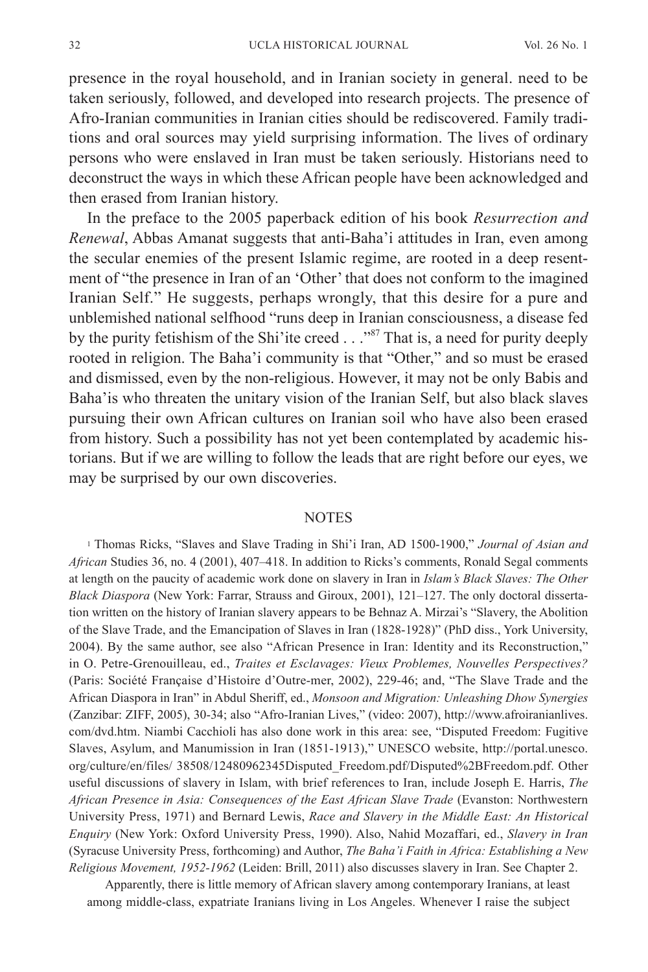presence in the royal household, and in Iranian society in general. need to be taken seriously, followed, and developed into research projects. The presence of Afro-Iranian communities in Iranian cities should be rediscovered. Family traditions and oral sources may yield surprising information. The lives of ordinary persons who were enslaved in Iran must be taken seriously. Historians need to deconstruct the ways in which these African people have been acknowledged and then erased from Iranian history.

In the preface to the 2005 paperback edition of his book *Resurrection and Renewal*, Abbas Amanat suggests that anti-Baha'i attitudes in Iran, even among the secular enemies of the present Islamic regime, are rooted in a deep resentment of "the presence in Iran of an 'Other' that does not conform to the imagined Iranian Self." He suggests, perhaps wrongly, that this desire for a pure and unblemished national selfhood "runs deep in Iranian consciousness, a disease fed by the purity fetishism of the Shi'ite creed . . . "<sup>87</sup> That is, a need for purity deeply rooted in religion. The Baha'i community is that "Other," and so must be erased and dismissed, even by the non-religious. However, it may not be only Babis and Baha'is who threaten the unitary vision of the Iranian Self, but also black slaves pursuing their own African cultures on Iranian soil who have also been erased from history. Such a possibility has not yet been contemplated by academic historians. But if we are willing to follow the leads that are right before our eyes, we may be surprised by our own discoveries.

#### NOTES

<sup>1</sup> Thomas Ricks, "Slaves and Slave Trading in Shi'i Iran, AD 1500-1900," *Journal of Asian and African* Studies 36, no. 4 (2001), 407–418. In addition to Ricks's comments, Ronald Segal comments at length on the paucity of academic work done on slavery in Iran in *Islam's Black Slaves: The Other Black Diaspora* (New York: Farrar, Strauss and Giroux, 2001), 121–127. The only doctoral dissertation written on the history of Iranian slavery appears to be Behnaz A. Mirzai's "Slavery, the Abolition of the Slave Trade, and the Emancipation of Slaves in Iran (1828-1928)" (PhD diss., York University, 2004). By the same author, see also "African Presence in Iran: Identity and its Reconstruction," in O. Petre-Grenouilleau, ed., *Traites et Esclavages: Vieux Problemes, Nouvelles Perspectives?* (Paris: Société Française d'Histoire d'Outre-mer, 2002), 229-46; and, "The Slave Trade and the African Diaspora in Iran" in Abdul Sheriff, ed., *Monsoon and Migration: Unleashing Dhow Synergies* (Zanzibar: ZIFF, 2005), 30-34; also "Afro-Iranian Lives," (video: 2007), [http://www.afroiranianlives.](http://www.afroiranianlives.com/dvd.htm) [com/dvd.htm](http://www.afroiranianlives.com/dvd.htm). Niambi Cacchioli has also done work in this area: see, "Disputed Freedom: Fugitive Slaves, Asylum, and Manumission in Iran (1851-1913)," UNESCO website, [http://portal.unesco.](http://portal.unesco.org/culture/en/files/) [org/culture/en/files/](http://portal.unesco.org/culture/en/files/) 38508/12480962345Disputed\_Freedom.pdf/Disputed%2BFreedom.pdf. Other useful discussions of slavery in Islam, with brief references to Iran, include Joseph E. Harris, *The African Presence in Asia: Consequences of the East African Slave Trade* (Evanston: Northwestern University Press, 1971) and Bernard Lewis, *Race and Slavery in the Middle East: An Historical Enquiry* (New York: Oxford University Press, 1990). Also, Nahid Mozaffari, ed., *Slavery in Iran* (Syracuse University Press, forthcoming) and Author, *The Baha'i Faith in Africa: Establishing a New Religious Movement, 1952-1962* (Leiden: Brill, 2011) also discusses slavery in Iran. See Chapter 2.

Apparently, there is little memory of African slavery among contemporary Iranians, at least among middle-class, expatriate Iranians living in Los Angeles. Whenever I raise the subject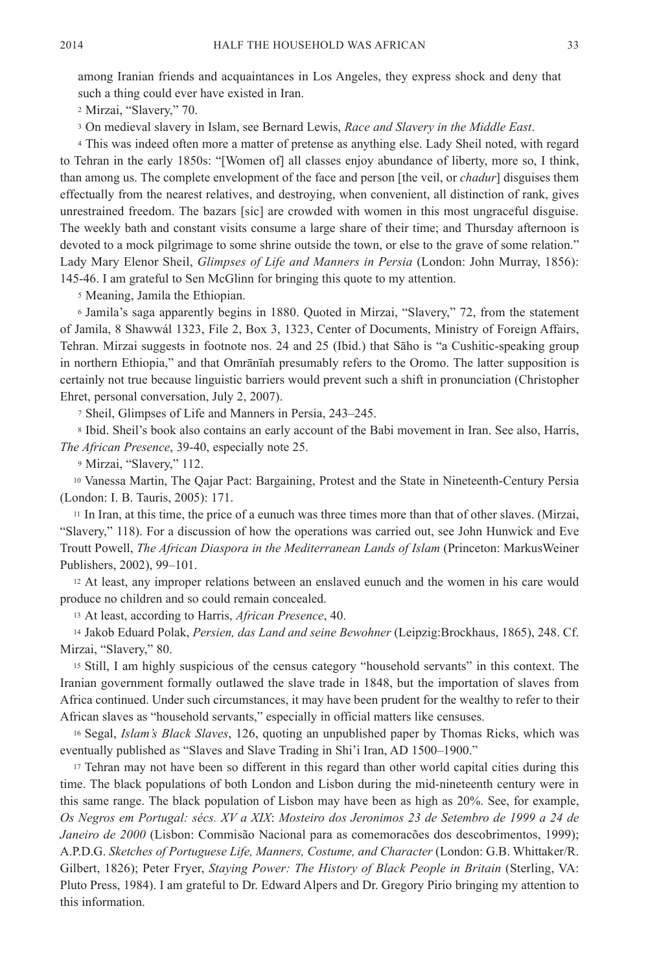among Iranian friends and acquaintances in Los Angeles, they express shock and deny that such a thing could ever have existed in Iran.

<sup>2</sup> Mirzai, "Slavery," 70.

<sup>3</sup> On medieval slavery in Islam, see Bernard Lewis, *Race and Slavery in the Middle East*.

<sup>4</sup> This was indeed often more a matter of pretense as anything else. Lady Sheil noted, with regard to Tehran in the early 1850s: "[Women of] all classes enjoy abundance of liberty, more so, I think, than among us. The complete envelopment of the face and person [the veil, or *chadur*] disguises them effectually from the nearest relatives, and destroying, when convenient, all distinction of rank, gives unrestrained freedom. The bazars [sic] are crowded with women in this most ungraceful disguise. The weekly bath and constant visits consume a large share of their time; and Thursday afternoon is devoted to a mock pilgrimage to some shrine outside the town, or else to the grave of some relation." Lady Mary Elenor Sheil, *Glimpses of Life and Manners in Persia* (London: John Murray, 1856): 145-46. I am grateful to Sen McGlinn for bringing this quote to my attention.

<sup>5</sup> Meaning, Jamila the Ethiopian.

<sup>6</sup> Jamila's saga apparently begins in 1880. Quoted in Mirzai, "Slavery," 72, from the statement of Jamila, 8 Shawwál 1323, File 2, Box 3, 1323, Center of Documents, Ministry of Foreign Affairs, Tehran. Mirzai suggests in footnote nos. 24 and 25 (Ibid.) that Sāho is "a Cushitic-speaking group in northern Ethiopia," and that Omrānīah presumably refers to the Oromo. The latter supposition is certainly not true because linguistic barriers would prevent such a shift in pronunciation (Christopher Ehret, personal conversation, July 2, 2007).

<sup>7</sup> Sheil, Glimpses of Life and Manners in Persia, 243–245.

<sup>8</sup> Ibid. Sheil's book also contains an early account of the Babi movement in Iran. See also, Harris, *The African Presence*, 39-40, especially note 25.

<sup>9</sup> Mirzai, "Slavery," 112.

<sup>10</sup> Vanessa Martin, The Qajar Pact: Bargaining, Protest and the State in Nineteenth-Century Persia (London: I. B. Tauris, 2005): 171.

<sup>11</sup> In Iran, at this time, the price of a eunuch was three times more than that of other slaves. (Mirzai, "Slavery," 118). For a discussion of how the operations was carried out, see John Hunwick and Eve Troutt Powell, *The African Diaspora in the Mediterranean Lands of Islam* (Princeton: MarkusWeiner Publishers, 2002), 99–101.

<sup>12</sup> At least, any improper relations between an enslaved eunuch and the women in his care would produce no children and so could remain concealed.

<sup>13</sup> At least, according to Harris, *African Presence*, 40.

<sup>14</sup> Jakob Eduard Polak, *Persien, das Land and seine Bewohner* (Leipzig:Brockhaus, 1865), 248. Cf. Mirzai, "Slavery," 80.

<sup>15</sup> Still, I am highly suspicious of the census category "household servants" in this context. The Iranian government formally outlawed the slave trade in 1848, but the importation of slaves from Africa continued. Under such circumstances, it may have been prudent for the wealthy to refer to their African slaves as "household servants," especially in official matters like censuses.

<sup>16</sup> Segal, *Islam's Black Slaves*, 126, quoting an unpublished paper by Thomas Ricks, which was eventually published as "Slaves and Slave Trading in Shi'i Iran, AD 1500–1900."

<sup>17</sup> Tehran may not have been so different in this regard than other world capital cities during this time. The black populations of both London and Lisbon during the mid-nineteenth century were in this same range. The black population of Lisbon may have been as high as 20%. See, for example, *Os Negros em Portugal: sécs. XV a XIX*: *Mosteiro dos Jeronimos 23 de Setembro de 1999 a 24 de Janeiro de 2000* (Lisbon: Commisão Nacional para as comemoracões dos descobrimentos, 1999); A.P.D.G. *Sketches of Portuguese Life, Manners, Costume, and Character* (London: G.B. Whittaker/R. Gilbert, 1826); Peter Fryer, *Staying Power: The History of Black People in Britain* (Sterling, VA: Pluto Press, 1984). I am grateful to Dr. Edward Alpers and Dr. Gregory Pirio bringing my attention to this information.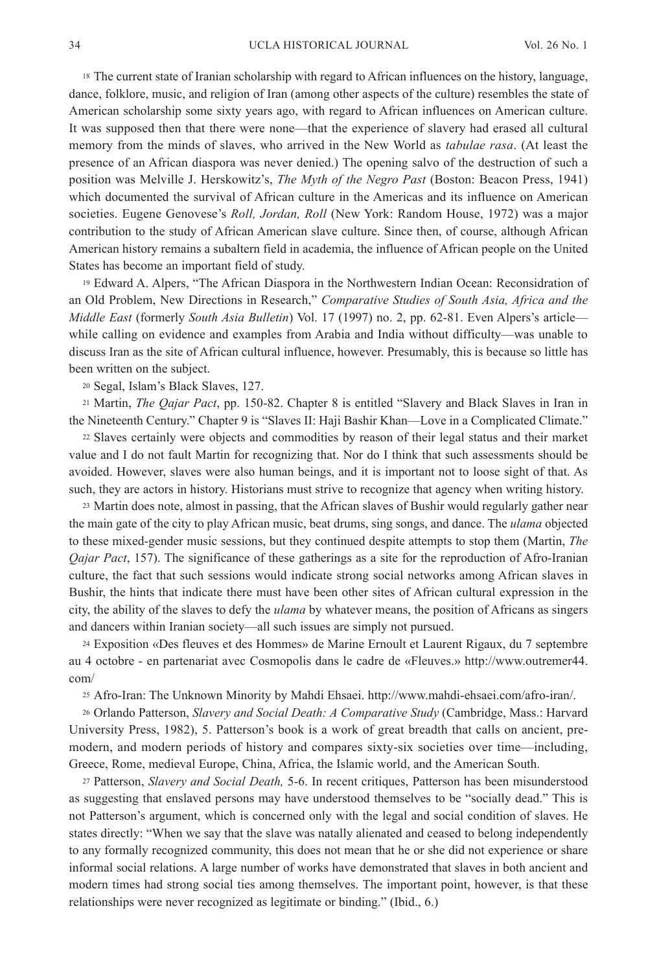<sup>18</sup> The current state of Iranian scholarship with regard to African influences on the history, language, dance, folklore, music, and religion of Iran (among other aspects of the culture) resembles the state of American scholarship some sixty years ago, with regard to African influences on American culture. It was supposed then that there were none—that the experience of slavery had erased all cultural memory from the minds of slaves, who arrived in the New World as *tabulae rasa*. (At least the presence of an African diaspora was never denied.) The opening salvo of the destruction of such a position was Melville J. Herskowitz's, *The Myth of the Negro Past* (Boston: Beacon Press, 1941) which documented the survival of African culture in the Americas and its influence on American societies. Eugene Genovese's *Roll, Jordan, Roll* (New York: Random House, 1972) was a major contribution to the study of African American slave culture. Since then, of course, although African American history remains a subaltern field in academia, the influence of African people on the United States has become an important field of study.

<sup>19</sup> Edward A. Alpers, "The African Diaspora in the Northwestern Indian Ocean: Reconsidration of an Old Problem, New Directions in Research," *Comparative Studies of South Asia, Africa and the Middle East* (formerly *South Asia Bulletin*) Vol. 17 (1997) no. 2, pp. 62-81. Even Alpers's article while calling on evidence and examples from Arabia and India without difficulty—was unable to discuss Iran as the site of African cultural influence, however. Presumably, this is because so little has been written on the subject.

<sup>20</sup> Segal, Islam's Black Slaves, 127.

<sup>21</sup> Martin, *The Qajar Pact*, pp. 150-82. Chapter 8 is entitled "Slavery and Black Slaves in Iran in the Nineteenth Century." Chapter 9 is "Slaves II: Haji Bashir Khan—Love in a Complicated Climate."

<sup>22</sup> Slaves certainly were objects and commodities by reason of their legal status and their market value and I do not fault Martin for recognizing that. Nor do I think that such assessments should be avoided. However, slaves were also human beings, and it is important not to loose sight of that. As such, they are actors in history. Historians must strive to recognize that agency when writing history.

<sup>23</sup> Martin does note, almost in passing, that the African slaves of Bushir would regularly gather near the main gate of the city to play African music, beat drums, sing songs, and dance. The *ulama* objected to these mixed-gender music sessions, but they continued despite attempts to stop them (Martin, *The Qajar Pact*, 157). The significance of these gatherings as a site for the reproduction of Afro-Iranian culture, the fact that such sessions would indicate strong social networks among African slaves in Bushir, the hints that indicate there must have been other sites of African cultural expression in the city, the ability of the slaves to defy the *ulama* by whatever means, the position of Africans as singers and dancers within Iranian society—all such issues are simply not pursued.

<sup>24</sup> Exposition «Des fleuves et des Hommes» de Marine Ernoult et Laurent Rigaux, du 7 septembre au 4 octobre - en partenariat avec Cosmopolis dans le cadre de «Fleuves.» [http://www.outremer44.](http://www.outremer44.com/) [com/](http://www.outremer44.com/)

<sup>25</sup> Afro-Iran: The Unknown Minority by Mahdi Ehsaei.<http://www.mahdi-ehsaei.com/afro-iran/>.

<sup>26</sup> Orlando Patterson, *Slavery and Social Death: A Comparative Study* (Cambridge, Mass.: Harvard University Press, 1982), 5. Patterson's book is a work of great breadth that calls on ancient, premodern, and modern periods of history and compares sixty-six societies over time—including, Greece, Rome, medieval Europe, China, Africa, the Islamic world, and the American South.

<sup>27</sup> Patterson, *Slavery and Social Death,* 5-6. In recent critiques, Patterson has been misunderstood as suggesting that enslaved persons may have understood themselves to be "socially dead." This is not Patterson's argument, which is concerned only with the legal and social condition of slaves. He states directly: "When we say that the slave was natally alienated and ceased to belong independently to any formally recognized community, this does not mean that he or she did not experience or share informal social relations. A large number of works have demonstrated that slaves in both ancient and modern times had strong social ties among themselves. The important point, however, is that these relationships were never recognized as legitimate or binding." (Ibid., 6.)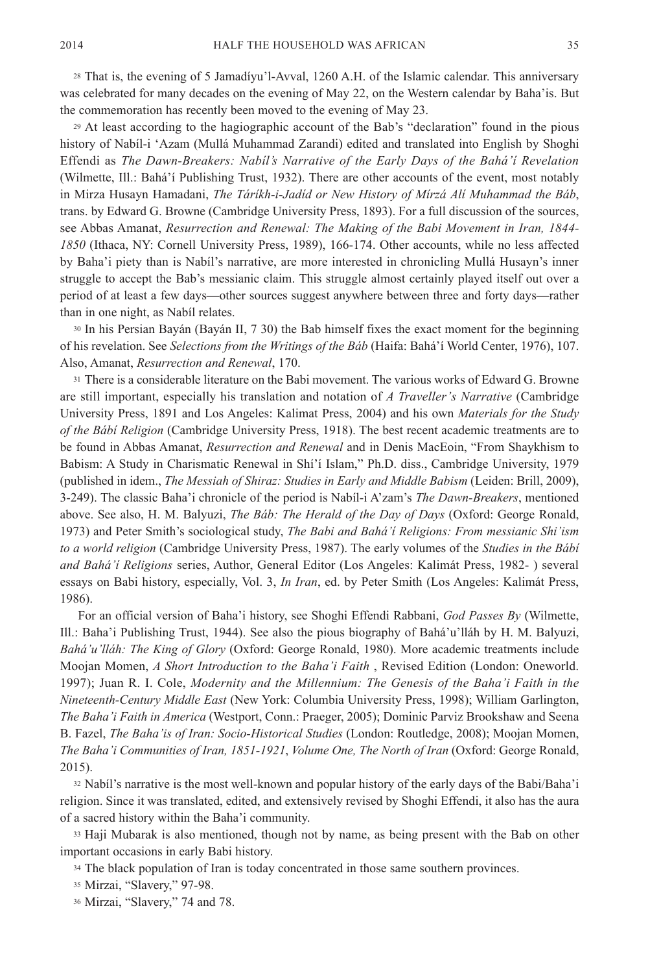<sup>28</sup> That is, the evening of 5 Jamadíyu'l-Avval, 1260 A.H. of the Islamic calendar. This anniversary was celebrated for many decades on the evening of May 22, on the Western calendar by Baha'is. But the commemoration has recently been moved to the evening of May 23.

<sup>29</sup> At least according to the hagiographic account of the Bab's "declaration" found in the pious history of Nabíl-i 'Azam (Mullá Muhammad Zarandi) edited and translated into English by Shoghi Effendi as *The Dawn-Breakers: Nabíl's Narrative of the Early Days of the Bahá'í Revelation* (Wilmette, Ill.: Bahá'í Publishing Trust, 1932). There are other accounts of the event, most notably in Mirza Husayn Hamadani, *The Táríkh-i-Jadíd or New History of Mírzá Alí Muhammad the Báb*, trans. by Edward G. Browne (Cambridge University Press, 1893). For a full discussion of the sources, see Abbas Amanat, *Resurrection and Renewal: The Making of the Babi Movement in Iran, 1844- 1850* (Ithaca, NY: Cornell University Press, 1989), 166-174. Other accounts, while no less affected by Baha'i piety than is Nabíl's narrative, are more interested in chronicling Mullá Husayn's inner struggle to accept the Bab's messianic claim. This struggle almost certainly played itself out over a period of at least a few days—other sources suggest anywhere between three and forty days—rather than in one night, as Nabíl relates.

<sup>30</sup> In his Persian Bayán (Bayán II, 7 30) the Bab himself fixes the exact moment for the beginning of his revelation. See *Selections from the Writings of the Báb* (Haifa: Bahá'í World Center, 1976), 107. Also, Amanat, *Resurrection and Renewal*, 170.

<sup>31</sup> There is a considerable literature on the Babi movement. The various works of Edward G. Browne are still important, especially his translation and notation of *A Traveller's Narrative* (Cambridge University Press, 1891 and Los Angeles: Kalimat Press, 2004) and his own *Materials for the Study of the Bábí Religion* (Cambridge University Press, 1918). The best recent academic treatments are to be found in Abbas Amanat, *Resurrection and Renewal* and in Denis MacEoin, "From Shaykhism to Babism: A Study in Charismatic Renewal in Shí'í Islam," Ph.D. diss., Cambridge University, 1979 (published in idem., *The Messiah of Shiraz: Studies in Early and Middle Babism* (Leiden: Brill, 2009), 3-249). The classic Baha'i chronicle of the period is Nabíl-i A'zam's *The Dawn-Breakers*, mentioned above. See also, H. M. Balyuzi, *The Báb: The Herald of the Day of Days* (Oxford: George Ronald, 1973) and Peter Smith's sociological study, *The Babi and Bahá'í Religions: From messianic Shi'ism to a world religion* (Cambridge University Press, 1987). The early volumes of the *Studies in the Bábí and Bahá'í Religions* series, Author, General Editor (Los Angeles: Kalimát Press, 1982- ) several essays on Babi history, especially, Vol. 3, *In Iran*, ed. by Peter Smith (Los Angeles: Kalimát Press, 1986).

For an official version of Baha'i history, see Shoghi Effendi Rabbani, *God Passes By* (Wilmette, Ill.: Baha'i Publishing Trust, 1944). See also the pious biography of Bahá'u'lláh by H. M. Balyuzi, *Bahá'u'lláh: The King of Glory* (Oxford: George Ronald, 1980). More academic treatments include Moojan Momen, *A Short Introduction to the Baha'i Faith* , Revised Edition (London: Oneworld. 1997); Juan R. I. Cole, *Modernity and the Millennium: The Genesis of the Baha'i Faith in the Nineteenth-Century Middle East* (New York: Columbia University Press, 1998); William Garlington, *The Baha'i Faith in America* (Westport, Conn.: Praeger, 2005); Dominic Parviz Brookshaw and Seena B. Fazel, *The Baha'is of Iran: Socio-Historical Studies* (London: Routledge, 2008); Moojan Momen, *The Baha'i Communities of Iran, 1851-1921*, *Volume One, The North of Iran* (Oxford: George Ronald, 2015).

<sup>32</sup> Nabíl's narrative is the most well-known and popular history of the early days of the Babi/Baha'i religion. Since it was translated, edited, and extensively revised by Shoghi Effendi, it also has the aura of a sacred history within the Baha'i community.

<sup>33</sup> Haji Mubarak is also mentioned, though not by name, as being present with the Bab on other important occasions in early Babi history.

<sup>34</sup> The black population of Iran is today concentrated in those same southern provinces.

<sup>35</sup> Mirzai, "Slavery," 97-98.

<sup>36</sup> Mirzai, "Slavery," 74 and 78.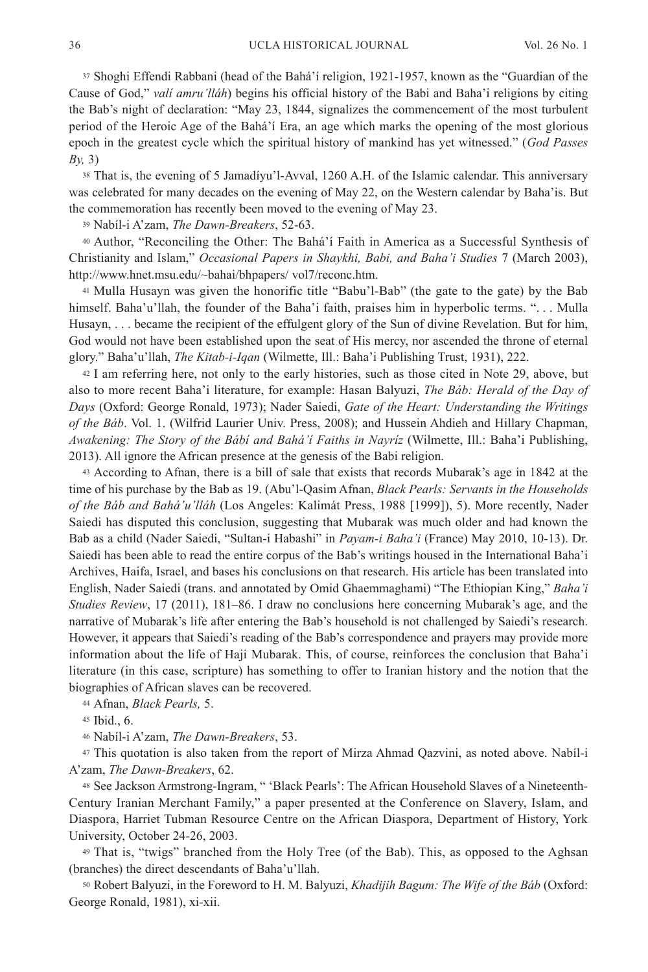<sup>37</sup> Shoghi Effendi Rabbani (head of the Bahá'í religion, 1921-1957, known as the "Guardian of the Cause of God," *valí amru'lláh*) begins his official history of the Babi and Baha'i religions by citing the Bab's night of declaration: "May 23, 1844, signalizes the commencement of the most turbulent period of the Heroic Age of the Bahá'í Era, an age which marks the opening of the most glorious epoch in the greatest cycle which the spiritual history of mankind has yet witnessed." (*God Passes By,* 3)

<sup>38</sup> That is, the evening of 5 Jamadíyu'l-Avval, 1260 A.H. of the Islamic calendar. This anniversary was celebrated for many decades on the evening of May 22, on the Western calendar by Baha'is. But the commemoration has recently been moved to the evening of May 23.

<sup>39</sup> Nabíl-i A'zam, *The Dawn-Breakers*, 52-63.

<sup>40</sup> Author, "Reconciling the Other: The Bahá'í Faith in America as a Successful Synthesis of Christianity and Islam," *Occasional Papers in Shaykhi, Babi, and Baha'i Studies* 7 (March 2003), <http://www.hnet.msu.edu/~bahai/bhpapers/ vol7/reconc.htm>.

<sup>41</sup> Mulla Husayn was given the honorific title "Babu'l-Bab" (the gate to the gate) by the Bab himself. Baha'u'llah, the founder of the Baha'i faith, praises him in hyperbolic terms. "... Mulla Husayn, . . . became the recipient of the effulgent glory of the Sun of divine Revelation. But for him, God would not have been established upon the seat of His mercy, nor ascended the throne of eternal glory." Baha'u'llah, *The Kitab-i-Iqan* (Wilmette, Ill.: Baha'i Publishing Trust, 1931), 222.

<sup>42</sup> I am referring here, not only to the early histories, such as those cited in Note 29, above, but also to more recent Baha'i literature, for example: Hasan Balyuzi, *The Báb: Herald of the Day of Days* (Oxford: George Ronald, 1973); Nader Saiedi, *Gate of the Heart: Understanding the Writings of the Báb*. Vol. 1. (Wilfrid Laurier Univ. Press, 2008); and Hussein Ahdieh and Hillary Chapman, *Awakening: The Story of the Bábí and Bahá'í Faiths in Nayríz* (Wilmette, Ill.: Baha'i Publishing, 2013). All ignore the African presence at the genesis of the Babi religion.

<sup>43</sup> According to Afnan, there is a bill of sale that exists that records Mubarak's age in 1842 at the time of his purchase by the Bab as 19. (Abu'l-Qasim Afnan, *Black Pearls: Servants in the Households of the Báb and Bahá'u'lláh* (Los Angeles: Kalimát Press, 1988 [1999]), 5). More recently, Nader Saiedi has disputed this conclusion, suggesting that Mubarak was much older and had known the Bab as a child (Nader Saiedi, "Sultan-i Habashi" in *Payam-i Baha'i* (France) May 2010, 10-13). Dr. Saiedi has been able to read the entire corpus of the Bab's writings housed in the International Baha'i Archives, Haifa, Israel, and bases his conclusions on that research. His article has been translated into English, Nader Saiedi (trans. and annotated by Omid Ghaemmaghami) "The Ethiopian King," *Baha'i Studies Review*, 17 (2011), 181–86. I draw no conclusions here concerning Mubarak's age, and the narrative of Mubarak's life after entering the Bab's household is not challenged by Saiedi's research. However, it appears that Saiedi's reading of the Bab's correspondence and prayers may provide more information about the life of Haji Mubarak. This, of course, reinforces the conclusion that Baha'i literature (in this case, scripture) has something to offer to Iranian history and the notion that the biographies of African slaves can be recovered.

<sup>44</sup> Afnan, *Black Pearls,* 5.

<sup>45</sup> Ibid., 6.

<sup>46</sup> Nabíl-i A'zam, *The Dawn-Breakers*, 53.

<sup>47</sup> This quotation is also taken from the report of Mirza Ahmad Qazvini, as noted above. Nabíl-i A'zam, *The Dawn-Breakers*, 62.

<sup>48</sup> See Jackson Armstrong-Ingram, " 'Black Pearls': The African Household Slaves of a Nineteenth-Century Iranian Merchant Family," a paper presented at the Conference on Slavery, Islam, and Diaspora, Harriet Tubman Resource Centre on the African Diaspora, Department of History, York University, October 24-26, 2003.

<sup>49</sup> That is, "twigs" branched from the Holy Tree (of the Bab). This, as opposed to the Aghsan (branches) the direct descendants of Baha'u'llah.

<sup>50</sup> Robert Balyuzi, in the Foreword to H. M. Balyuzi, *Khadijih Bagum: The Wife of the Báb* (Oxford: George Ronald, 1981), xi-xii.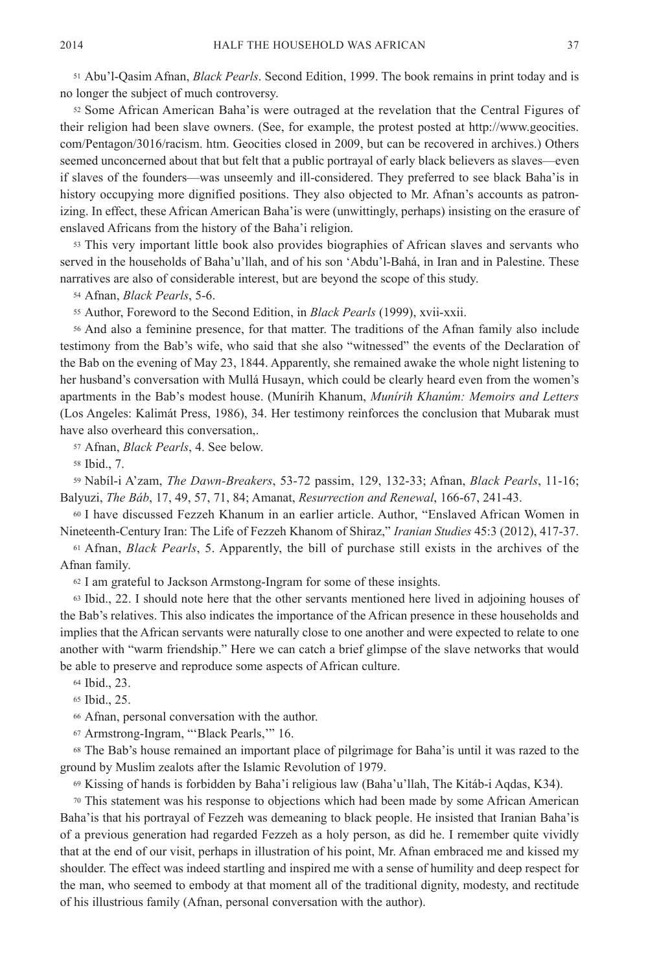<sup>51</sup> Abu'l-Qasim Afnan, *Black Pearls*. Second Edition, 1999. The book remains in print today and is no longer the subject of much controversy.

<sup>52</sup> Some African American Baha'is were outraged at the revelation that the Central Figures of their religion had been slave owners. (See, for example, the protest posted at http://www.geocities. com/Pentagon/3016/racism. htm. Geocities closed in 2009, but can be recovered in archives.) Others seemed unconcerned about that but felt that a public portrayal of early black believers as slaves—even if slaves of the founders—was unseemly and ill-considered. They preferred to see black Baha'is in history occupying more dignified positions. They also objected to Mr. Afnan's accounts as patronizing. In effect, these African American Baha'is were (unwittingly, perhaps) insisting on the erasure of enslaved Africans from the history of the Baha'i religion.

<sup>53</sup> This very important little book also provides biographies of African slaves and servants who served in the households of Baha'u'llah, and of his son 'Abdu'l-Bahá, in Iran and in Palestine. These narratives are also of considerable interest, but are beyond the scope of this study.

<sup>54</sup> Afnan, *Black Pearls*, 5-6.

<sup>55</sup> Author, Foreword to the Second Edition, in *Black Pearls* (1999), xvii-xxii.

<sup>56</sup> And also a feminine presence, for that matter. The traditions of the Afnan family also include testimony from the Bab's wife, who said that she also "witnessed" the events of the Declaration of the Bab on the evening of May 23, 1844. Apparently, she remained awake the whole night listening to her husband's conversation with Mullá Husayn, which could be clearly heard even from the women's apartments in the Bab's modest house. (Munírih Khanum, *Munírih Khanúm: Memoirs and Letters* (Los Angeles: Kalimát Press, 1986), 34. Her testimony reinforces the conclusion that Mubarak must have also overheard this conversation,.

<sup>57</sup> Afnan, *Black Pearls*, 4. See below.

<sup>58</sup> Ibid., 7.

<sup>59</sup> Nabíl-i A'zam, *The Dawn-Breakers*, 53-72 passim, 129, 132-33; Afnan, *Black Pearls*, 11-16; Balyuzi, *The Báb*, 17, 49, 57, 71, 84; Amanat, *Resurrection and Renewal*, 166-67, 241-43.

<sup>60</sup> I have discussed Fezzeh Khanum in an earlier article. Author, "Enslaved African Women in Nineteenth-Century Iran: The Life of Fezzeh Khanom of Shiraz," *Iranian Studies* 45:3 (2012), 417-37.

<sup>61</sup> Afnan, *Black Pearls*, 5. Apparently, the bill of purchase still exists in the archives of the Afnan family.

<sup>62</sup> I am grateful to Jackson Armstong-Ingram for some of these insights.

<sup>63</sup> Ibid., 22. I should note here that the other servants mentioned here lived in adjoining houses of the Bab's relatives. This also indicates the importance of the African presence in these households and implies that the African servants were naturally close to one another and were expected to relate to one another with "warm friendship." Here we can catch a brief glimpse of the slave networks that would be able to preserve and reproduce some aspects of African culture.

<sup>64</sup> Ibid., 23.

<sup>65</sup> Ibid., 25.

<sup>66</sup> Afnan, personal conversation with the author.

<sup>67</sup> Armstrong-Ingram, "'Black Pearls,'" 16.

<sup>68</sup> The Bab's house remained an important place of pilgrimage for Baha'is until it was razed to the ground by Muslim zealots after the Islamic Revolution of 1979.

<sup>69</sup> Kissing of hands is forbidden by Baha'i religious law (Baha'u'llah, The Kitáb-i Aqdas, K34).

<sup>70</sup> This statement was his response to objections which had been made by some African American Baha'is that his portrayal of Fezzeh was demeaning to black people. He insisted that Iranian Baha'is of a previous generation had regarded Fezzeh as a holy person, as did he. I remember quite vividly that at the end of our visit, perhaps in illustration of his point, Mr. Afnan embraced me and kissed my shoulder. The effect was indeed startling and inspired me with a sense of humility and deep respect for the man, who seemed to embody at that moment all of the traditional dignity, modesty, and rectitude of his illustrious family (Afnan, personal conversation with the author).